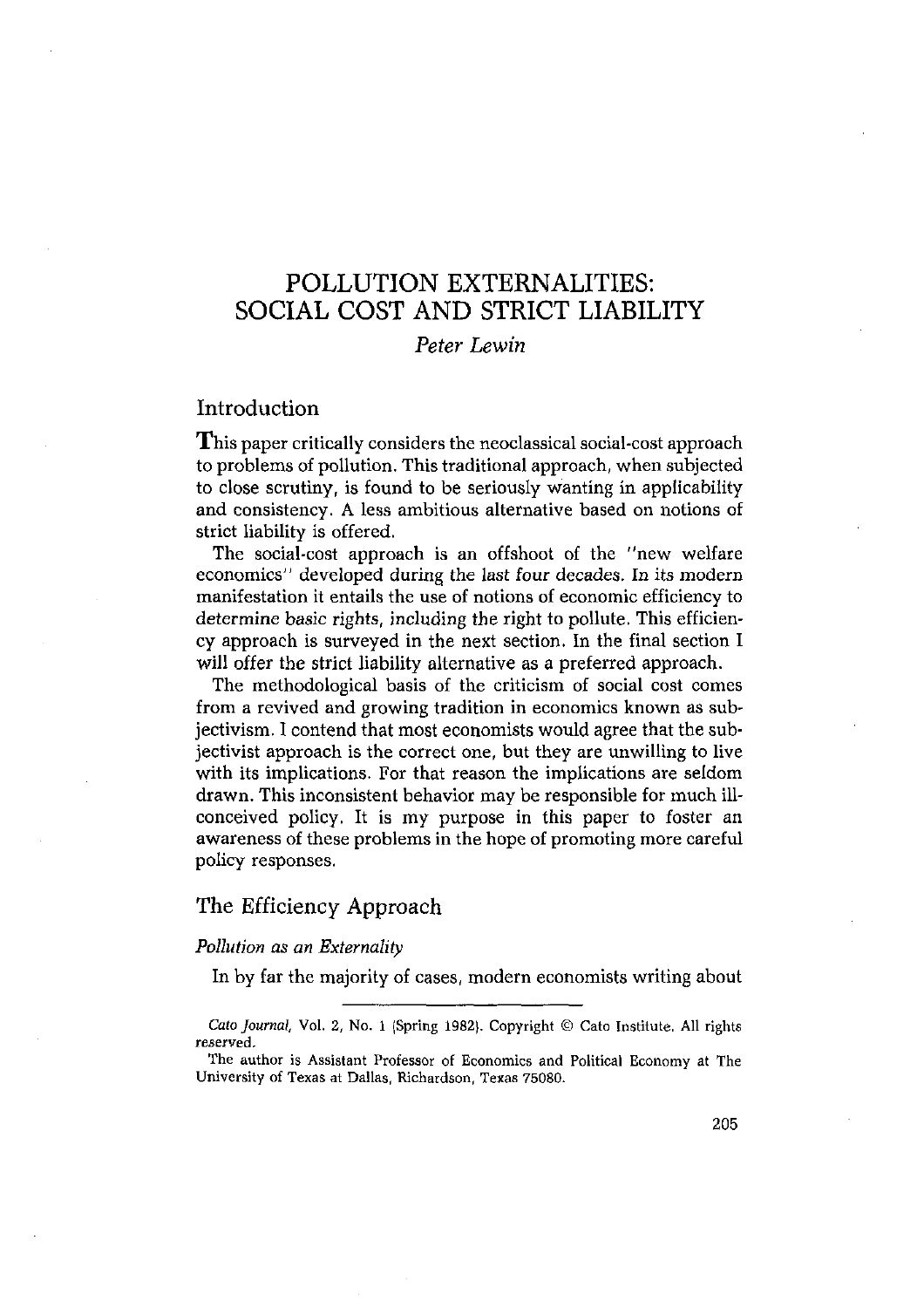# POLLUTION EXTERNALITIES: SOCIAL COST AND STRICT LIABILITY

# *Peter Lewin*

# Introduction

This paper critically considers the neoclassical social-cost approach to problems of pollution. This traditional approach, when subjected to close scrutiny, is found to be seriously wanting in applicability and consistency. A less ambitious alternative based on notions of strict liability is offered.

The social-cost approach is an offshoot of the "new welfare economics" developed during the last four decades. In its modern manifestation it entails the use of notions of economic efficiency to determine basic rights, including the right to pollute. This efficiency approach is surveyed in the next section. In the final section I will offer the strict liability alternative as a preferred approach.

The methodological basis of the criticism of social cost comes from a revived and growing tradition in economics known as subjectivism. I contend that most economists would agree that the subjectivist approach is the correct one, but they are unwilling to live with its implications. For that reason the implications are seldom drawn. This inconsistent behavior may be responsible for much illconceived policy. It is my purpose in this paper to foster an awareness of these problems in the hope of promoting more careful policy responses.

## The Efficiency Approach

## *Pollution as an Externality*

In by far the majority of cases, modern economists writing about

*Cato Journal, Vol. 2, No. 1 (Spring 1982). Copyright © Cato Institute. All rights* reserved.

The author is Assistant Professor of Economics and Political Economy at The University of Texas at Dallas, Richardson, Texas 75080.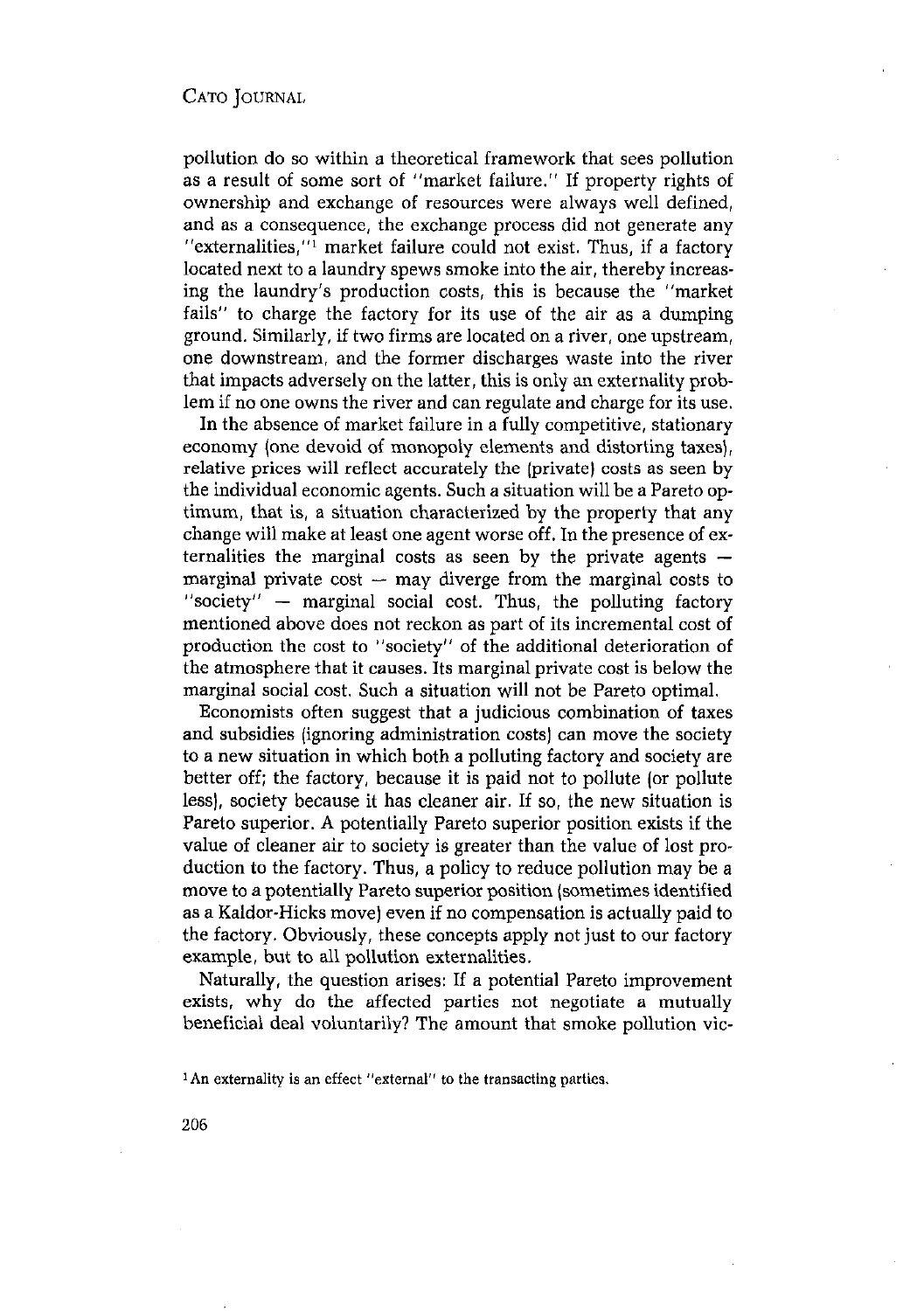pollution do so within a theoretical framework that sees pollution as a result of some sort of "market failure." If property rights of ownership and exchange of resources were always well defined, and as a consequence, the exchange process did not generate any "externalities, $"$  market failure could not exist. Thus, if a factory located next to a laundry spews smoke into the air, thereby increasing the laundry's production costs, this is because the "market fails" to charge the factory for its use of the air as a dumping ground. Similarly, if two firms are located on a river, one upstream, one downstream, and the former discharges waste into the river that impacts adversely on the latter, this is only an externality problem if no one owns the river and can regulate and charge for its use.

In the absence of market failure in a fully competitive, stationary economy (one devoid of monopoly elements and distorting taxes), relative prices will reflect accurately the (private) costs as seen by the individual economic agents. Such a situation will be a Pareto optimum, that is, a situation characterized by the property that any change will make at least one agent worse off, In the presence of externalities the marginal costs as seen by the private agents marginal private  $cost - may$  diverge from the marginal costs to "society" — marginal social cost. Thus, the polluting factory mentioned above does not reckon as part of its incremental cost of production the cost to "society" of the additional deterioration of the atmosphere that it causes. Its marginal private cost is below the marginal social cost. Such a situation will not be Pareto optimal.

Economists often suggest that a judicious combination of taxes and subsidies (ignoring administration costs) can move the society to a new situation in which both a polluting factory and society are better off; the factory, because it is paid not to pollute (or pollute less), society because it has cleaner air. If so, the new situation is Pareto superior. A potentially Pareto superior position exists if the value of cleaner air to society is greater than the value of lost production to the factory. Thus, a policy to reduce pollution may be a move to a potentially Pareto superior position (sometimes identified as a Kaldor-Hicks move) even if no compensation is actually paid to the factory. Obviously, these concepts apply not just to our factory example, but to all pollution externalities.

Naturally, the question arises: If a potential Pareto improvement exists, why do the affected parties not negotiate a mutually beneficial deal voluntarily? The amount that smoke pollution vic-

<sup>&#</sup>x27;An externality is an effect "external" to the transacting parties.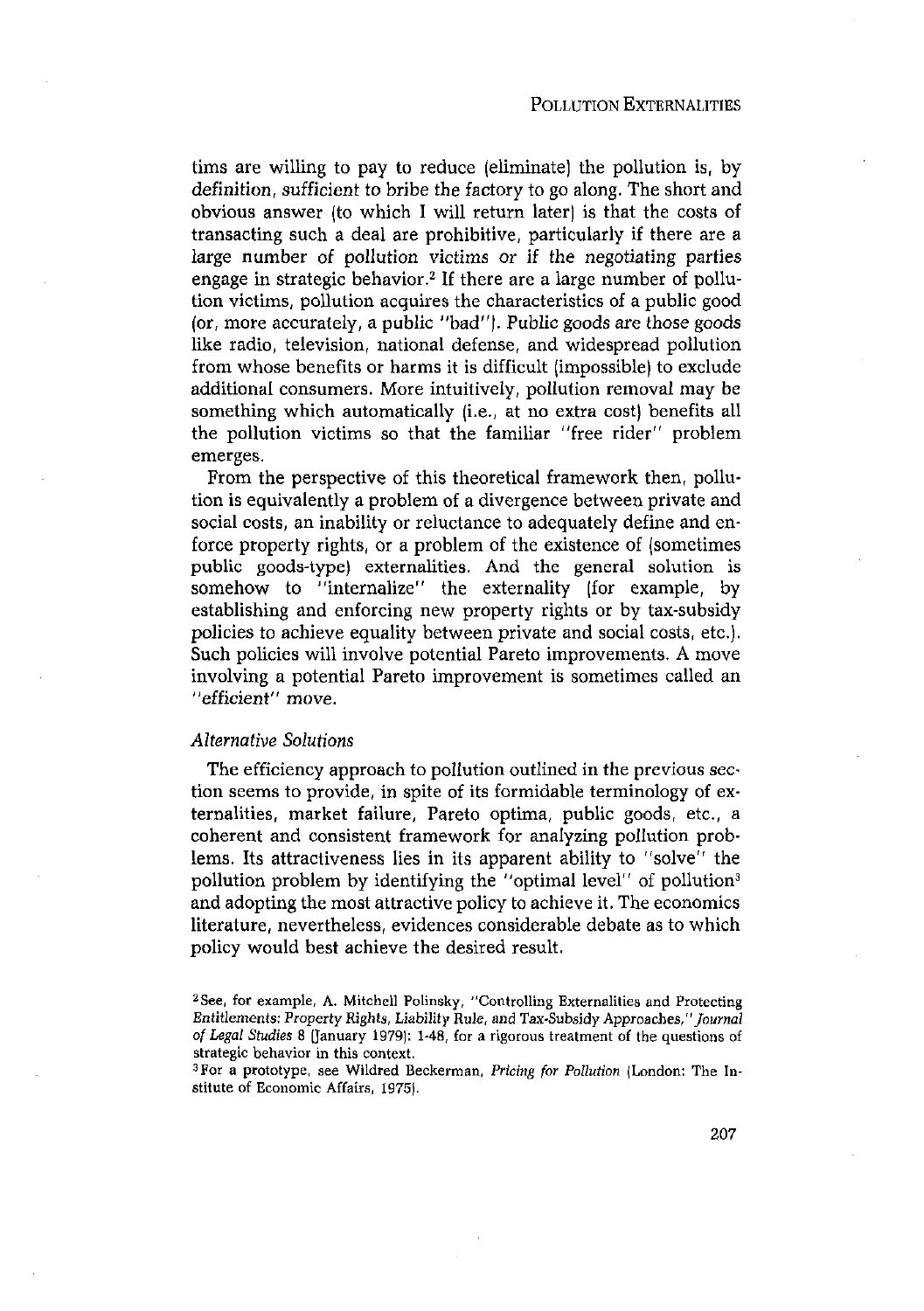tims are willing to pay to reduce (eliminate) the pollution is, by definition, sufficient to bribe the factory to go along. The short and obvious answer (to which I will return later) is that the costs of transacting such a deal are prohibitive, particularly if there are a large number of pollution victims or if the negotiating parties engage in strategic behavior.<sup>2</sup> If there are a large number of pollution victims, pollution acquires the characteristics of a public good (or, more accurately, a public "bad"). Public goods are those goods like radio, television, national defense, and widespread pollution from whose benefits or harms it is difficult (impossible) to exclude additional consumers. More intuitively, pollution removal may be something which automatically (i.e., at no extra cost) benefits all the pollution victims so that the familiar "free rider" problem emerges.

From the perspective of this theoretical framework then, pollution is equivalently a problem of a divergence between private and social costs, an inability or reluctance to adequately define and enforce property rights, or a problem of the existence of (sometimes public goods-type) externalities. And the general solution is somehow to "internalize" the externality (for example, by establishing and enforcing new property rights or by tax-subsidy policies to achieve equality between private and social costs, etc.). Such policies will involve potential Pareto improvements. A move involving a potential Pareto improvement is sometimes called an "efficient" move.

## *Alternative Solutions*

The efficiency approach to pollution outlined in the previous section seems to provide, in spite of its formidable terminology of externalities, market failure, Pareto optima, public goods, etc., a coherent and consistent framework for analyzing pollution problems. Its attractiveness lies in its apparent ability to "solve" the pollution problem by identifying the "optimal level" of pollution3 and adopting the most attractive policy to achieve it. The economics literature, nevertheless, evidences considerable debate as to which policy would best achieve the desired result.

<sup>2</sup> 5ee, for example, A. Mitchell Polinsky, "Controlling Externalities and Protecting Entitlements: Property Rights, Liability Rule, and Tax-Subsidy Approaches, *"Journal* of *Legal StI4dies* 8 (January 1979): 1-48, for a rigorous treatment of the questions of strategic behavior in this context.

For a prototype, see Wildred Beckerman, Pricing *for Pollution* (London: The Institute of Economic Affairs, 1975).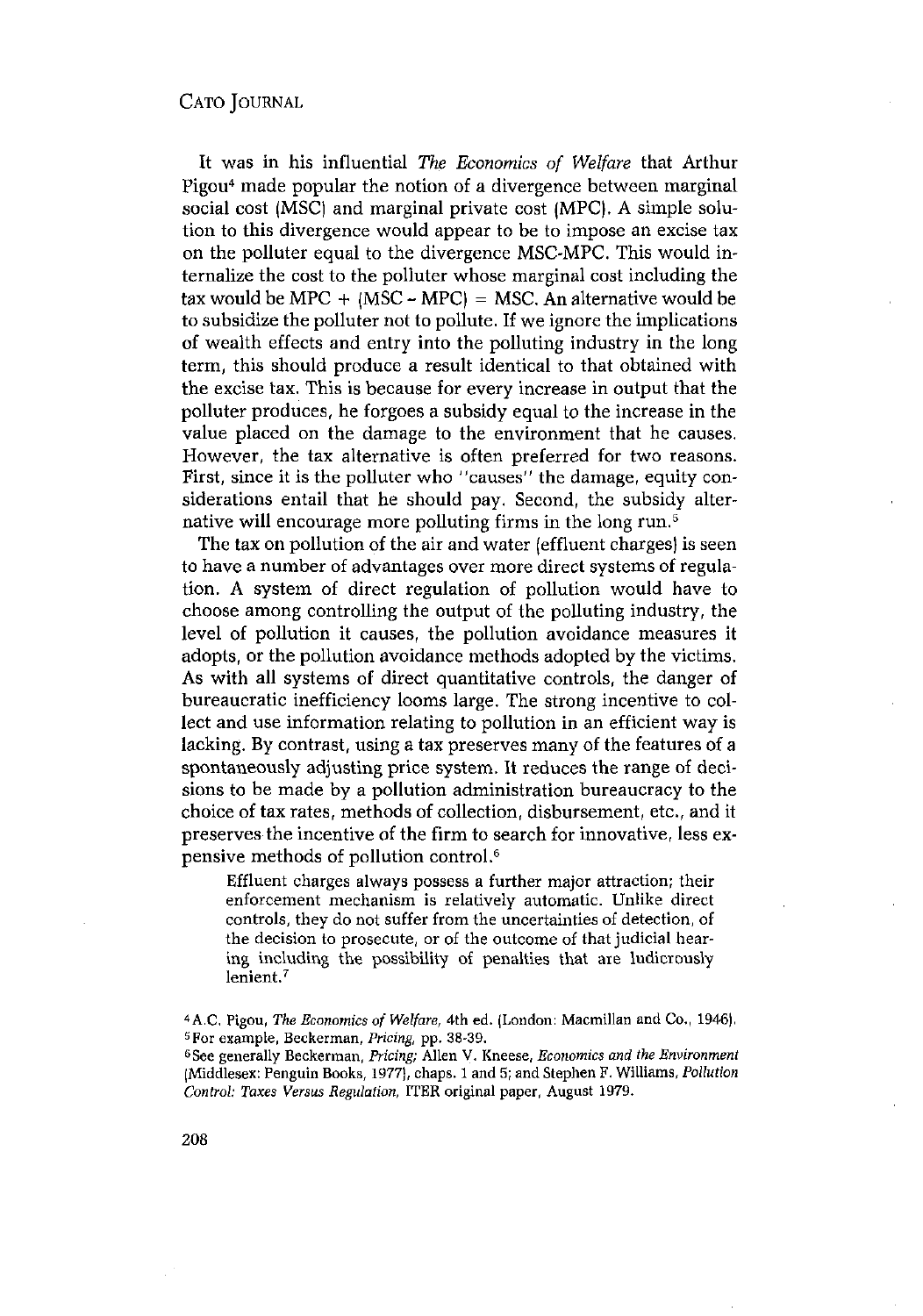It was in his influential *The Economics of Welfare* that Arthur Pigou4 made popular the notion of a divergence between marginal social cost (MSC) and marginal private cost (MPC). A simple solution to this divergence would appear to be to impose an excise tax on the polluter equal to the divergence MSC-MPC. This would internalize the cost to the polluter whose marginal cost including the tax would be MPC  $+$  (MSC - MPC) = MSC. An alternative would be to subsidize the polluter not to pollute. If we ignore the implications of wealth effects and entry into the polluting industry in the long term, this should produce a result identical to that obtained with the excise tax. This is because for every increase in output that the polluter produces, he forgoes a subsidy equal to the increase in the value placed on the damage to the environment that he causes. However, the tax alternative is often preferred for two reasons. First, since it is the polluter who "causes" the damage, equity considerations entail that he should pay. Second, the subsidy alternative will encourage more polluting firms in the long run.<sup>5</sup>

The tax on pollution of the air and water (effluent charges) is seen to have a number of advantages over more direct systems of regulation. A system of direct regulation of pollution would have to choose among controlling the output of the polluting industry, the level of pollution it causes, the pollution avoidance measures it adopts, or the pollution avoidance methods adopted by the victims. As with all systems of direct quantitative controls, the danger of bureaucratic inefficiency looms large. The strong incentive to collect and use information relating to pollution in an efficient way is lacking. By contrast, using a tax preserves many of the features of a spontaneously adjusting price system. It reduces the range of decisions to be made by a pollution administration bureaucracy to the choice of tax rates, methods of collection, disbursement, etc., and it preserves the incentive of the firm to search for innovative, less expensive methods of pollution control.6

Effluent charges always possess a further major attraction; their enforcement mechanism is relatively automatic. Unlike direct controls, they do not suffer from the uncertainties of detection, of the decision to prosecute, or of the outcome of that judicial hearing including the possibility of penalties that are ludicrously lenient.7

See generally Beckerman, *Pricing;* Allen v. Kneese, *Economics and the Environment* (Middlesex: Penguin Books, 1977), chaps. <sup>1</sup> and 5; and Stephen F. Williams, *Pollution Control: Taxes Versus Regulation,* ITER original paper, August 1979.

<sup>~</sup>A.C,Pigou, *The Economics of Welfare,* 4th ed. (London: Macmillan and Co., 1946). <sup>5</sup> <sup>5</sup> For example, Beckerman, *Pricing*, pp. 38-39.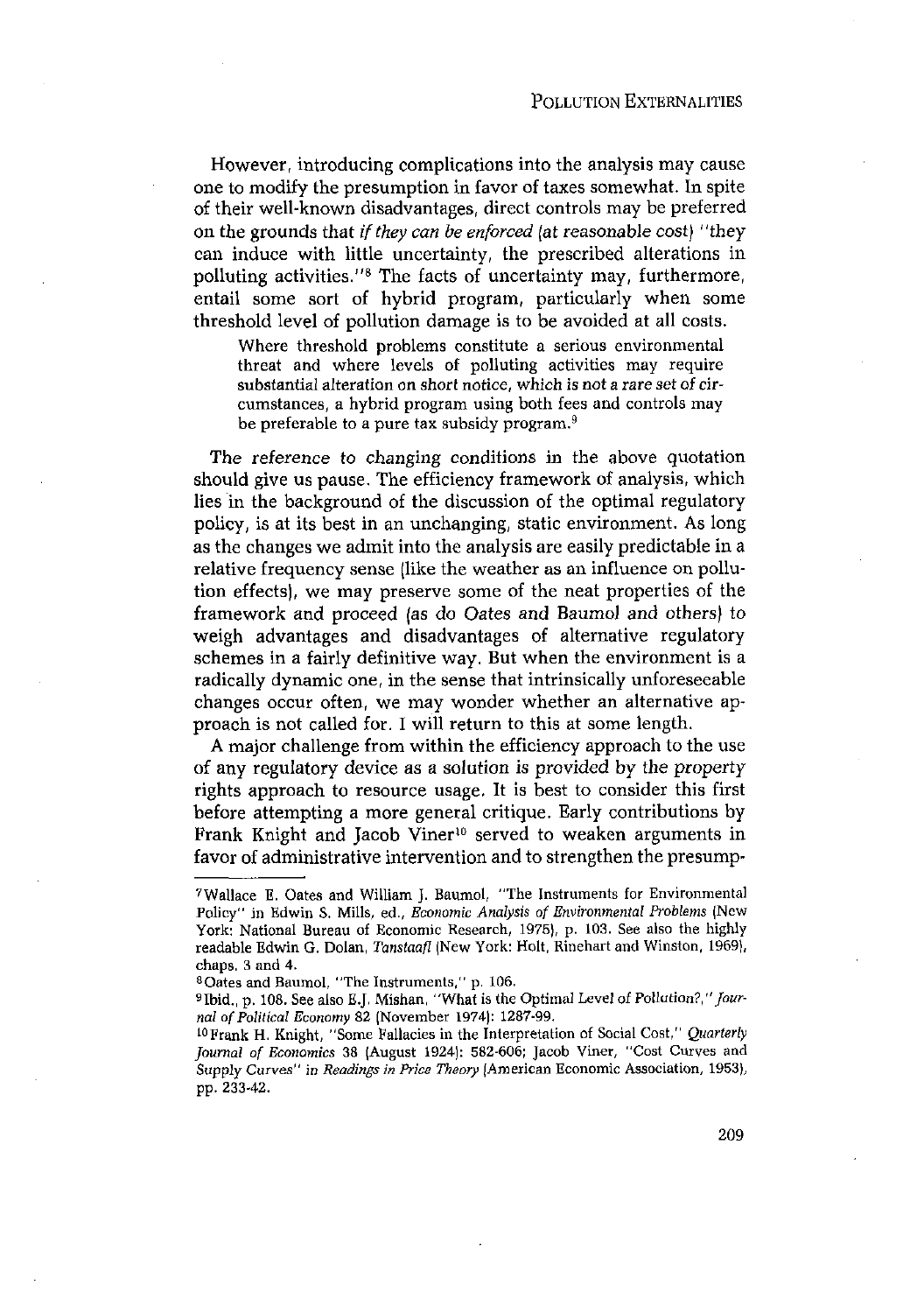However, introducing complications into the analysis may cause one to modify the presumption in favor of taxes somewhat. In spite of their well-known disadvantages, direct controls may be preferred on the grounds that *if they can be enforced* (at reasonable cost) "they can induce with little uncertainty, the prescribed alterations in polluting activities."8 The facts of uncertainty may, furthermore, entail some sort of hybrid program, particularly when some threshold level of pollution damage is to be avoided at all costs.

Where threshold problems constitute a serious environmental threat and where levels of polluting activities may require substantial alteration on short notice, which is not a rare set of circumstances, a hybrid program using both fees and controls may be preferable to a pure tax subsidy program.<sup>9</sup>

The reference to changing conditions in the above quotation should give us pause. The efficiency framework of analysis, which lies in the background of the discussion of the optimal regulatory policy, is at its best in an unchanging, static environment. As long as the changes we admit into the analysis are easily predictable in a relative frequency sense (like the weather as an influence on pollution effects), we may preserve some of the neat properties of the framework and proceed (as do Oates and Baumol and others) to weigh advantages and disadvantages of alternative regulatory schemes in a fairly definitive way. But when the environment is a radically dynamic one, in the sense that intrinsically unforeseeable changes occur often, we may wonder whether an alternative approach is not called for. I will return to this at some length.

A major challenge from within the efficiency approach to the use of any regulatory device as a solution is provided by the property rights approach to resource usage. It is best to consider this first before attempting a more general critique. Early contributions by Frank Knight and Jacob Viner<sup>10</sup> served to weaken arguments in favor of administrative intervention and to strengthen the presump-

<sup>7</sup> Wallace B. Oates and William J. Baumol, "The Instruments for Environmental Policy" in Edwin S. Mills, ed., *Economic Analysis of Environmental Problems* (New York: National Bureau of Economic Research, 1975), p. 103. See also the highly readable Edwin G. Dolan, *Tanstaafl* (New York: Bolt, Rinehart and Winston, 1969), chaps 3 and 4.

Oates and Baumol, "The Instruments," p. 106.

<sup>&</sup>lt;sup>9</sup>Ibid., p. 108. See also E.J. Mishan, "What is the Optimal Level of Pollution?," Jour*nal* of Political Economy 82 (November 1974): 1287-99.

<sup>&</sup>lt;sup>10</sup> Frank H. Knight, "Some Fallacies in the Interpretation of Social Cost," *Quarterly Journal of Economics* 38 (August 1924): 582-606; Jacob viner, "Cost Curves and Supply Curves" *in Readings in Price Theory* (American Economic Association, 1953), pp. 233-42.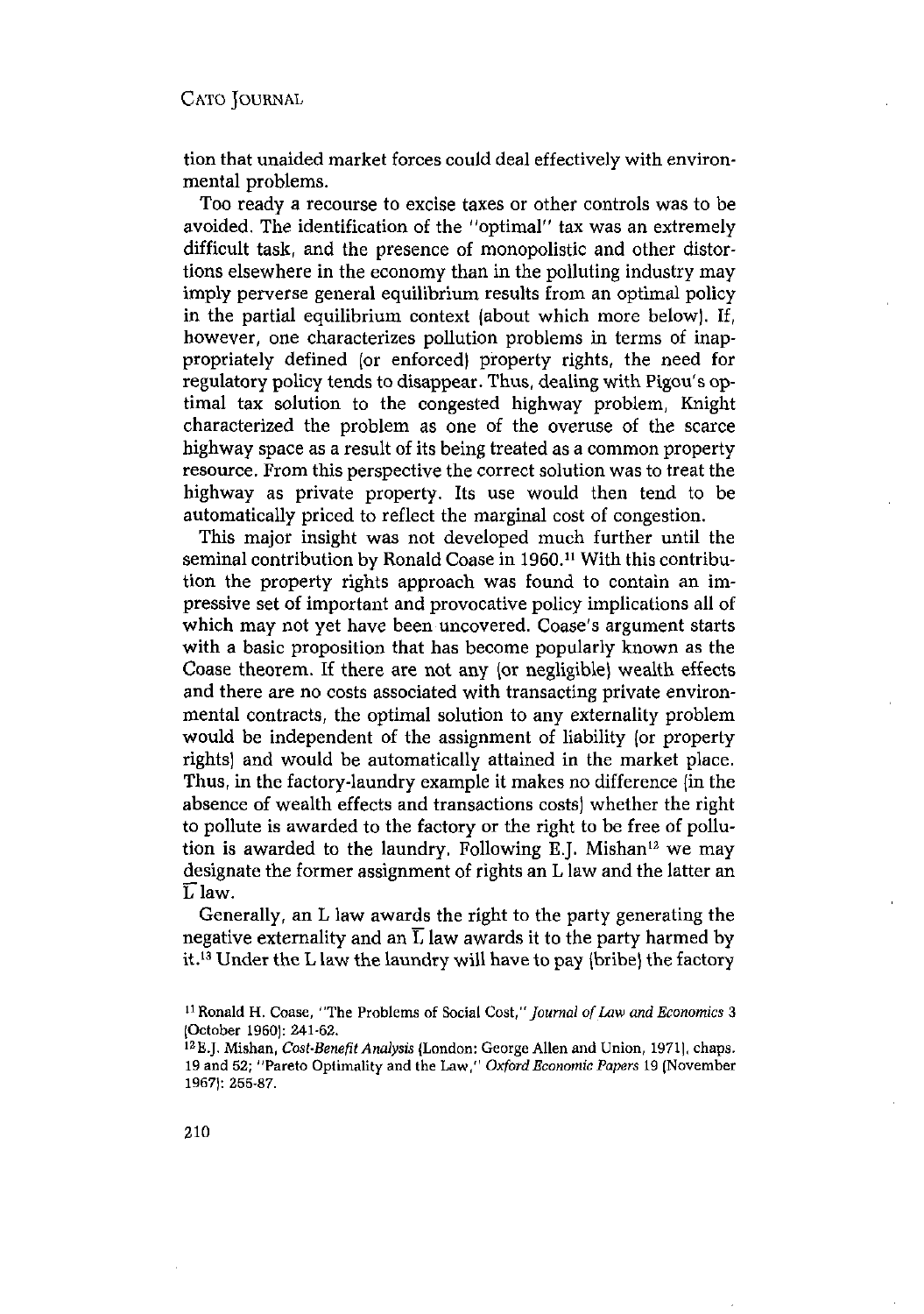tion that unaided market forces could deal effectively with environmental problems.

Too ready a recourse to excise taxes or other controls was to be avoided. The identification of the "optimal" tax was an extremely difficult task, and the presence of monopolistic and other distortions elsewhere in the economy than in the polluting industry may imply perverse general equilibrium results from an optimal policy in the partial equilibrium context (about which more below). If, however, one characterizes pollution problems in terms of inappropriately defined (or enforced) property rights, the need for regulatory policy tends to disappear. Thus, dealing with Pigou's optimal tax solution to the congested highway problem, Knight characterized the problem as one of the overuse of the scarce highway space as a result of its being treated as a common property resource. From this perspective the correct solution was to treat the highway as private property. Its use would then tend to be automatically priced to reflect the marginal cost of congestion.

This major insight was not developed much further until the seminal contribution by Ronald Coase in 1960.<sup>11</sup> With this contribution the property rights approach was found to contain an impressive set of important and provocative policy implications all of which may not yet have been uncovered. Coase's argument starts with a basic proposition that has become popularly known as the Coase theorem. If there are not any (or negligible) wealth effects and there are no costs associated with transacting private environmental contracts, the optimal solution to any externality problem would be independent of the assignment of liability (or property rights) and would be automatically attained in the market place. Thus, in the factory-laundry example it makes no difference (in the absence of wealth effects and transactions costs) whether the right to pollute is awarded to the factory or the right to be free of pollution is awarded to the laundry. Following E.J. Mishan'2 we may designate the former assignment of rights an L law and the latter an  $\overline{L}$  law.

Generally, an L law awards the right to the party generating the negative externality and an  $\overline{L}$  law awards it to the party harmed by it.'3 Under the <sup>L</sup> law the laundry will have to pay (bribe) the factory

<sup>~</sup> H. Coase, "The Problems of Social *Cost,"Journol of Law and Economics* <sup>3</sup> (October 1950): 241-62.

october 1500<sub>1</sub>. 241-02.<br><sup>12</sup> E.J. Mishan, *Cost-Benefit Analysis* (London: George Allen and Union, 1971], chaps. 19 and 52; "Pareto Optimality and the Law," *Oxford Economic Papers* <sup>19</sup> (November 1967): 255-87.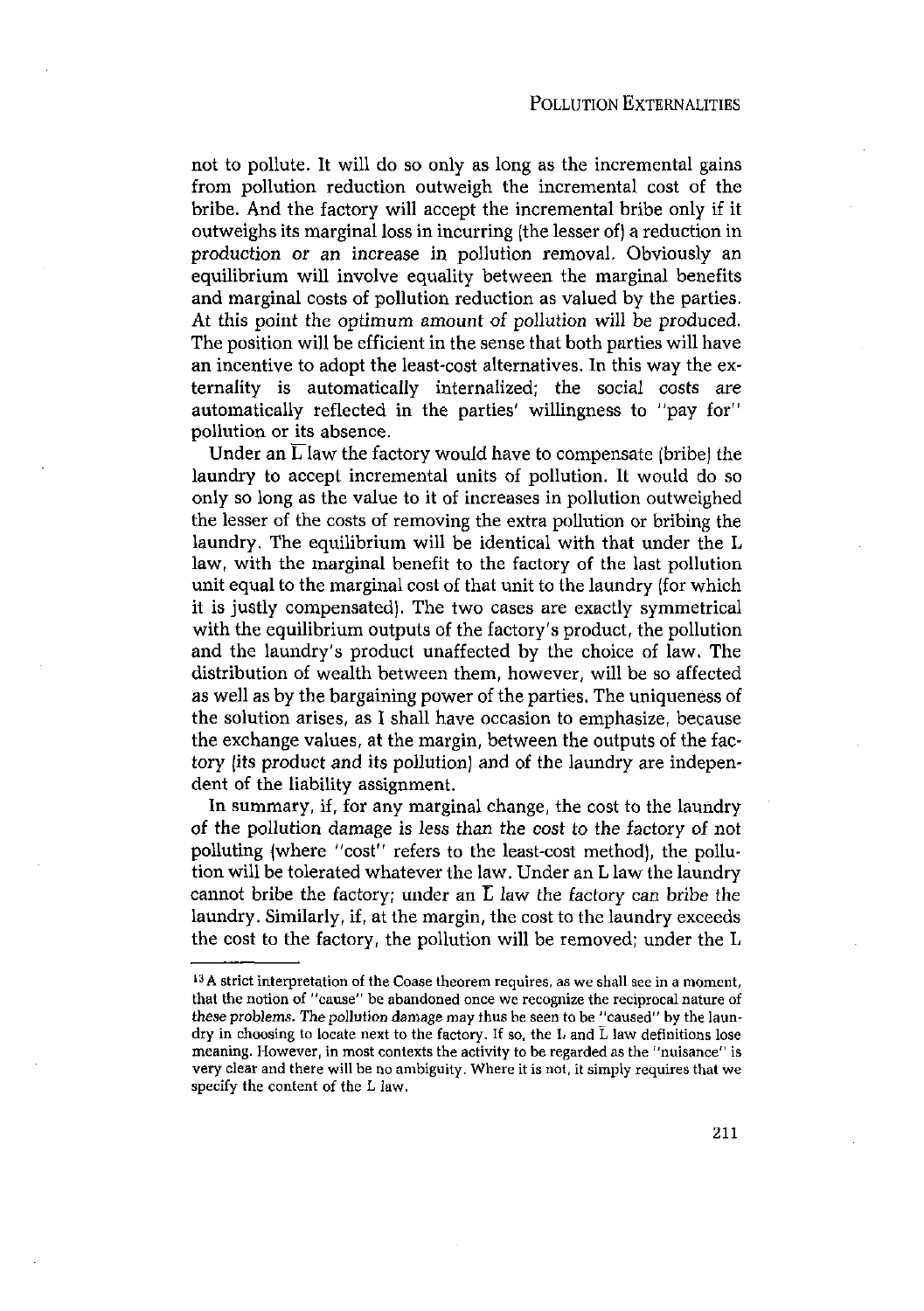not to pollute. It will do so only as long as the incremental gains from pollution reduction outweigh the incremental cost of the bribe. And the factory will accept the incremental bribe only if it outweighs its marginal loss in incurring (the lesser of) a reduction in production or an increase in pollution removal. Obviously an equilibrium will involve equality between the marginal benefits and marginal costs of pollution reduction as valued by the parties. At this point the optimum amount of pollution will be produced. The position will be efficient in the sense that both parties will have an incentive to adopt the least-cost alternatives. In this way the externality is automatically internalized; the social Costs are automatically reflected in the parties' willingness to "pay for" pollution or its absence.

Under an  $\overline{L}$  law the factory would have to compensate (bribe) the laundry to accept incremental units of pollution. It would do so only so long as the value to it of increases in pollution outweighed the lesser of the costs of removing the extra pollution or bribing the laundry. The equilibrium will be identical with that under the L law, with the marginal benefit to the factory of the last pollution unit equal to the marginal cost of that unit to the laundry (for which it is justly compensated). The two cases are exactly symmetrical with the equilibrium outputs of the factory's product, the pollution and the laundry's product unaffected by the choice of law. The distribution of wealth between them, however, will be so affected as well as by the bargaining power of the parties. The uniqueness of the solution arises, as I shall have occasion to emphasize, because the exchange values, at the margin, between the outputs of the factory (its product and its pollution) and of the laundry are independent of the liability assignment.

In summary, if, for any marginal change, the cost to the laundry of the pollution damage is less than the cost to the factory of not polluting (where "cost" refers to the least-cost method), the pollution will be tolerated whatever the law. Under an L law the laundry cannot bribe the factory; under an  $\overline{L}$  law the factory can bribe the laundry. Similarly, if, at the margin, the cost to the laundry exceeds the cost to the factory, the pollution will be removed; under the L

<sup>&</sup>lt;sup>13</sup> A strict interpretation of the Coase theorem requires, as we shall see in a moment, that the notion of "cause" be abandoned once we recognize the reciprocal nature of these problems. The pollution damage may thus be seen to be "caused" by the laundry in choosing to locate next to the factory. If so, the L and L law definitions lose meaning. However, in most contexts the activity to be regarded asthe "nuisance" is very clear and there will be no ambiguity. Where it is not, it simply requires that we specify the content of the L law.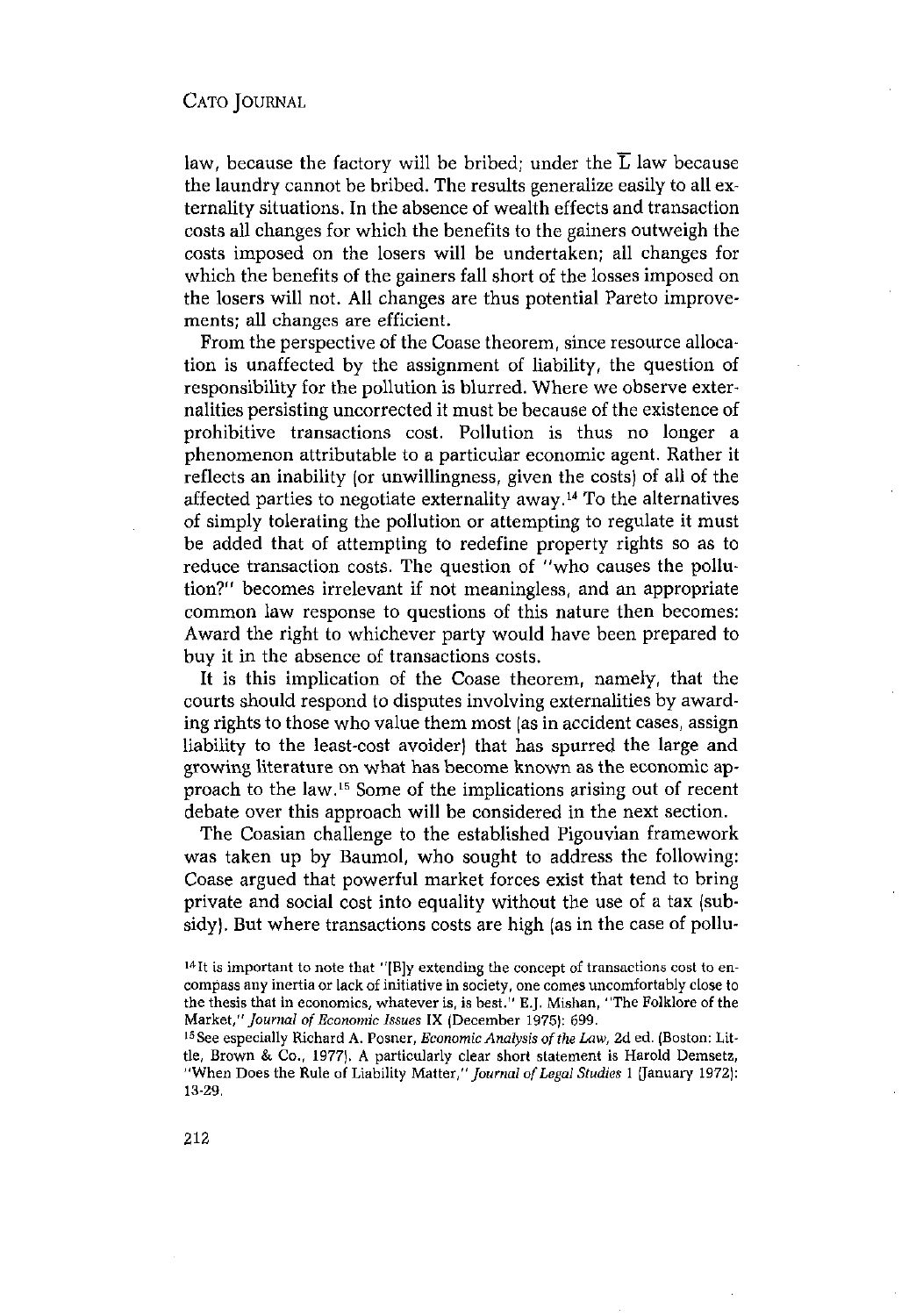law, because the factory will be bribed; under the  $\overline{L}$  law because the laundry cannot be bribed. The results generalize easily to all externality situations. In the absence of wealth effects and transaction costs all changes for which the benefits to the gainers outweigh the costs imposed on the losers will be undertaken; all changes for which the benefits of the gainers fall short of the losses imposed on the losers will not. All changes are thus potential Pareto improvements; all changes are efficient.

From the perspective of the Coase theorem, since resource allocation is unaffected by the assignment of liability, the question of responsibility for the pollution is blurred. Where we observe externalities persisting uncorrected it must be because of the existence of prohibitive transactions cost. Pollution is thus no longer a phenomenon attributable to a particular economic agent. Rather it reflects an inability (or unwillingness, given the costs) of all of the affected parties to negotiate externality away.'4 To the alternatives of simply tolerating the pollution or attempting to regulate it must be added that of attempting to redefine property rights so as to reduce transaction costs. The question of "who causes the pollution?" becomes irrelevant if not meaningless, and an appropriate common law response to questions of this nature then becomes: Award the right to whichever party would have been prepared to buy it in the absence of transactions costs.

It is this implication of the Coase theorem, namely, that the courts should respond to disputes involving externalities by awarding rights to those who value them most (as in accident cases, assign liability to the least-cost avoider) that has spurred the large and growing literature on what has become known as the economic approach to the law.<sup>15</sup> Some of the implications arising out of recent debate over this approach will be considered in the next section.

The Coasian challenge to the established Pigouvian framework was taken up by Baumol, who sought to address the following: Coase argued that powerful market forces exist that tend to bring private and social cost into equality without the use of a tax (subsidy). But where transactions costs are high (as in the case of pollu-

 $14$ It is important to note that "[B]y extending the concept of transactions cost to encompass any inertia or lack of initiative in society, one comes uncomfortably close to the thesis that in economics, whatever is, is best." E.J. Mishan, "The Folklore of the Market," Journal of Economic Issues IX (December 1975): 699.

<sup>&</sup>lt;sup>15</sup> See especially Richard A. Posner, *Economic Analysis of the Law,* 2d ed. (Boston: Little, Brown & Co., 1977). A particularly clear short statement is Harold Demsetz, "When Does the Rule of Liability Matter," *Journal of Legal Studies* 1 [January 1972]: 13-29,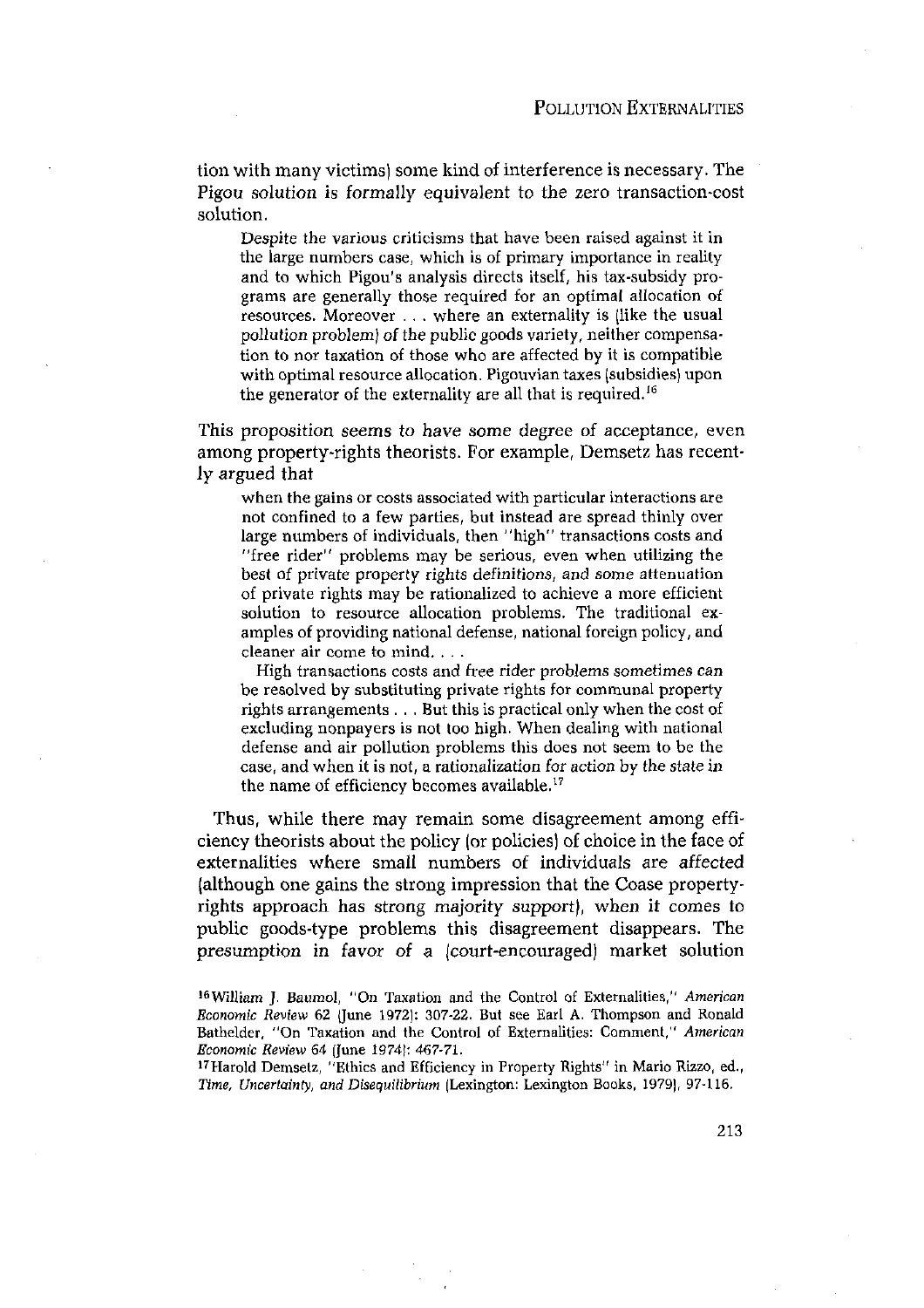tion with many victims) some kind of interference is necessary. The Pigou solution is formally equivalent to the zero transaction-cost solution.

Despite the various criticisms that have been raised against it in the large numbers case, which is of primary importance in reality and to which Pigou's analysis directs itself, his tax-subsidy pro- grams are generally those required for an optimal allocation of resources. Moreover . . . where an externality is (like the usual pollution problem) *of* the public goods variety, neither compensation to nor taxation of those who are affected by it is compatible with optimal resource allocation. Pigouvian taxes (subsidies) upon the generator of the externality are all that is required.'6

This proposition seems to have some degree of acceptance, even among property-rights theorists. For example, Demsetz has recently argued that

when the gains or costs associated with particular interactions are not confined to <sup>a</sup> few parties, but instead are spread thinly over large numbers of individuals, then "high" transactions costs and "free rider" problems may be serious, even when utilizing the best of private property rights definitions, and some attenuation of private rights may be rationalized to achieve a more efficient solution to resource allocation problems. The traditional examples of providing national defense, national foreign policy, and cleaner air come to mind. . . .

High transactions costs and free rider problems sometimes can be resolved by substituting private rights for communal property rights arrangements ..- But this is practical only when the cost of excluding nonpayers is not too high. When dealing with national defense and air pollution problems this does not seem to be the case, and when it is not, a rationalization for action by the state in the name of efficiency becomes available.'7

Thus, while there may remain some disagreement among efficiency theorists about the policy (or policies) of choice in the face of externalities where small numbers of individuals are affected (although one gains the strong impression that the Coase propertyrights approach has strong majority support), when it comes to public goods-type problems this disagreement disappears. The presumption in favor of a (court-encouraged) market solution

<sup>&#</sup>x27; 6 William J. Baumol, *"On* Taxation and the control of Externalities," *American Economic Review* 62 (June 1972): 307-22. But see Earl A. Thompson and Ronald Bathelder, "On Taxation and the Control of Externalities: Comment," *American Economic Review 64* (June 1974): 467-71.

<sup>&#</sup>x27; 7 Harold Demsetx, "Ethics and Efficiency in Property Rights" in Mario Rizzo, ed., *Time, Uncertainty, and Disequilibrium* (Lexington: Lexington Books, 1979), 97-116.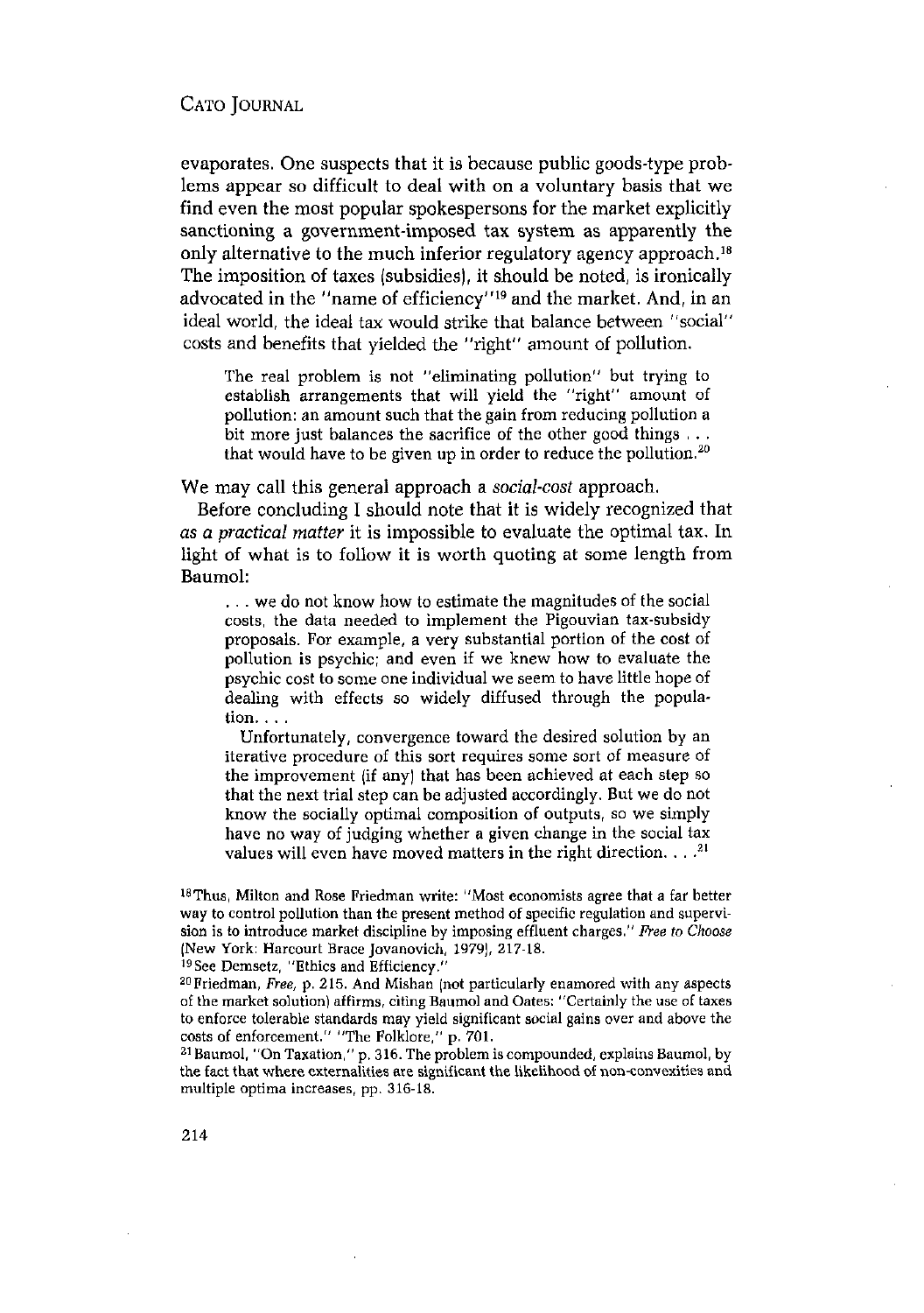evaporates. One suspects that it is because public goods-type problems appear so difficult to deal with on a voluntary basis that we find even the most popular spokespersons for the market explicitly sanctioning a government-imposed tax system as apparently the only alternative to the much inferior regulatory agency approach.<sup>18</sup> The imposition of taxes (subsidies), it should be noted, is ironically advocated in the "name of efficiency"<sup>19</sup> and the market. And, in an ideal world, the ideal tax would strike that balance between "social" costs and benefits that yielded the "right" amount of pollution.

The real problem is not "eliminating pollution" but trying to establish arrangements that will yield the "right" amount of pollution: an amount such that the gain from reducing pollution a bit more just balances the sacrifice of the other good things  $\dots$ that would have to be given up in order to reduce the pollution.<sup>20</sup>

We may call this general approach a *social-cost* approach.

Before concluding I should note that it is widely recognized that *as a practical matter* it is impossible to evaluate the optimal tax. In light of what is to follow it is worth quoting at some length from Baumol:

... we do not know how to estimate the magnitudes of the social costs, the data needed to implement the Pigouvian tax-subsidy proposals. For example, a very substantial portion of the cost of pollution is psychic; and even if we knew how to evaluate the psychic cost to some one individual we seem to have little hope of dealing with effects so widely diffused through the popula $tion. . . .$ 

Unfortunately, convergence toward the desired solution by an iterative procedure of this sort requires some sort of measure of the improvement (if any) that has been achieved at each step so that the next trial step can be adjusted accordingly. But we do not know the socially optimal composition of outputs, so we simply have no way of judging whether a given change in the social tax values will even have moved matters in the right direction.  $\ldots$ <sup>21</sup>

<sup>18</sup>Thus, Milton and Rose Friedman write: ''Most economists agree that a far better way to control pollution than the present method of specific regulation and supervision is to introduce market discipline by imposing effluent charges." Free to Choose (New York: Harcourt Brace Jovanovich, 1979), 217-18.<br><sup>19</sup>See Demsetz, "Ethics and Efficiency."<br><sup>20</sup>Friedman, *Free*, p. 215. And Mishan (not particularly enamored with any aspects

of the market solution) affirms, citing Baumol and Oates: "Certainly the use of taxes to enforce tolerable standards may yield significant social gains over and above the costs of enforcement." "The Folklore," p. 701.<br><sup>21</sup> Baumol, "On Taxation," p. 316. The problem is compounded, explains Baumol, by

the fact that where externalities are significant the likelihood of non-convexities and multiple optima increases, pp. 316-18.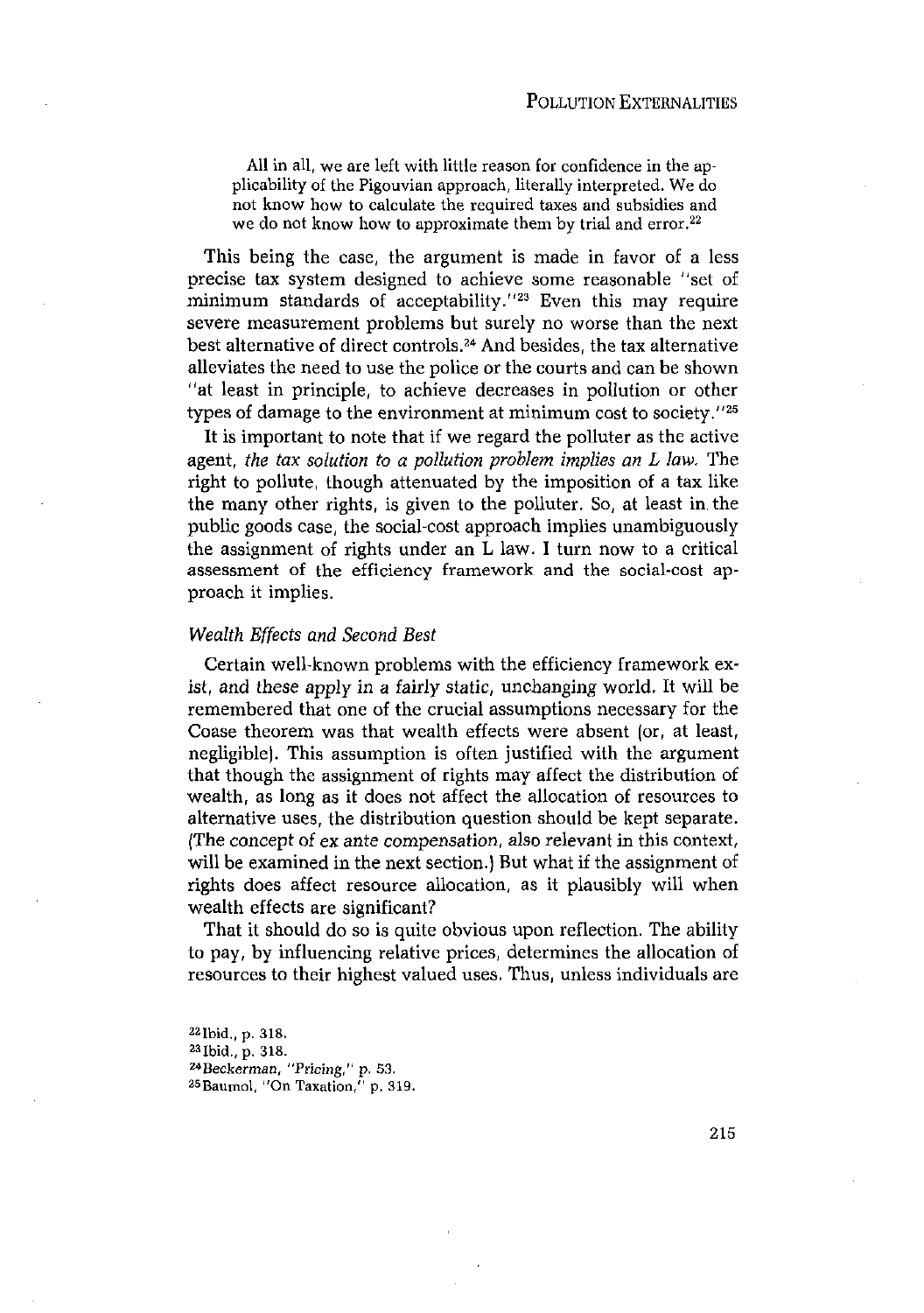All in all, we are left with little reason for confidence in the applicability of the Pigouvian approach, literally interpreted. Wedo not know how to calculate the required taxes and subsidies and we do not know how to approximate them by trial and error.<sup>22</sup>

This being the case, the argument is made in favor of a less precise tax system designed to achieve some reasonable "set of minimum standards of acceptability.<sup>''23</sup> Even this may require severe measurement problems but surely no worse than the next best alternative of direct controls.24 And besides, the tax alternative alleviates the need to use the police or the courts and canbe shown "at least in principle, to achieve decreases in pollution or other types of damage to the environment at minimum cost to society."25

It is important to note that if we regard the polluter as the active agent, *the tax solution to <sup>a</sup> pollution problem implies an L law.* The right to pollute, though attenuated by the imposition of a tax like the many other rights, is given to the polluter. So, at least in. the public goods case, the social-cost approach implies unambiguously the assignment of rights under an L law. I turn now to a critical assessment of the efficiency framework and the social-cost approach it implies.

#### *Wealth Effects and Second Best*

Certain well-known problems with the efficiency framework exist, and these apply in a fairly static, unchanging world. It will be remembered that one of the crucial assumptions necessary for the Coase theorem was that wealth effects were absent (or, at least, negligible). This assumption is often justified with the argument that though the assignment of rights may affect the distribution of wealth, as long as it does not affect the allocation of resources to alternative uses, the distribution question should be kept separate. (The concept of ex ante compensation, also relevant in this context, will be examined in the next section.) But what if the assignment of rights does affect resource allocation, as it plausibly will when wealth effects are significant?

That it should do so is quite obvious upon reflection. The ability to pay, by influencing relative prices, determines the allocation of resources to their highest valued uses. Thus, unless individuals are

22Ibid., p. 318. 23Ibid., p. 318. *24fleckerman,* "Pricing," p. 53. 25Baumol, "On Taxation," p. 319.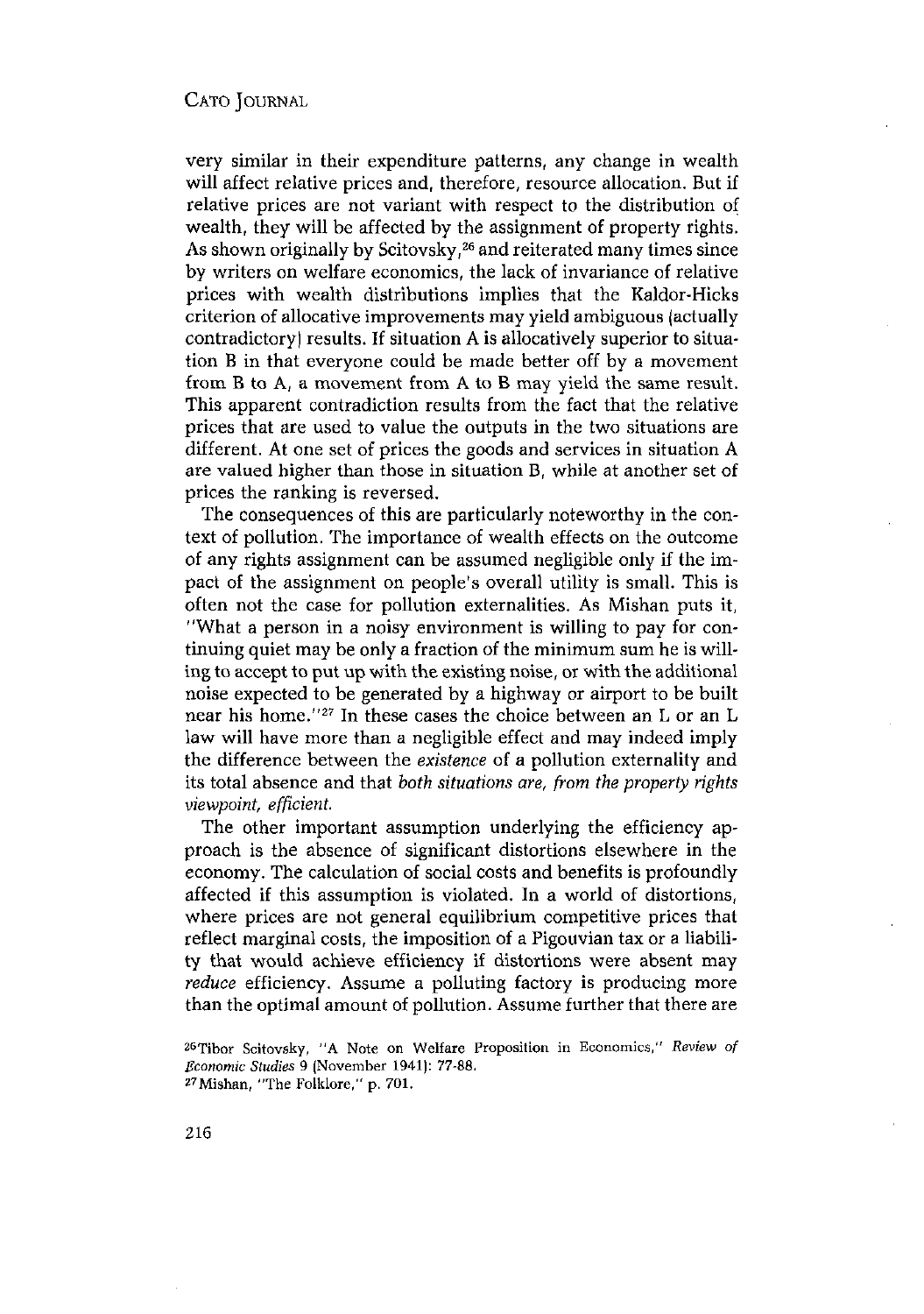very similar in their expenditure patterns, any change in wealth will affect relative prices and, therefore, resource allocation. But if relative prices are not variant with respect to the distribution of wealth, they will be affected by the assignment of property rights. As shown originally by Scitovsky,<sup>26</sup> and reiterated many times since by writers on welfare economics, the lack of invariance of relative prices with wealth distributions implies that the Kaldor-Hicks criterion of allocative improvements may yield ambiguous (actually contradictory) results. If situation A is allocatively superior to situation B in that everyone could be made better off by a movement from B to A, a movement from A to B may yield the same result. This apparent contradiction results from the fact that the relative prices that are used to value the outputs in the two situations are different. At one set of prices the goods and services in situation A are valued higher than those in situation B, while at another set of prices the ranking is reversed.

The consequences of this are particularly noteworthy in the context of pollution. The importance of wealth effects on the outcome of any rights assignment can be assumed negligible only if the impact of the assignment on people's overall utility is small. This is often not the case for pollution externalities. As Mishan puts it, "What a person in a noisy environment is willing to pay for continuing quiet may be only a fraction of the minimum sum he is willing to accept to put up with the existing noise, or with the additional noise expected to be generated by a highway or airport to be built near his home."27 In these cases the choice between an <sup>L</sup> or an <sup>L</sup> law will have more than a negligible effect and may indeed imply the difference between the *existence* of a pollution externality and its total absence and that *both situations are, from the property rights viewpoint, efficient.*

The other important assumption underlying the efficiency approach is the absence of significant distortions elsewhere in the economy. The calculation of social costs and benefits is profoundly affected if this assumption is violated. In a world of distortions, where prices are not general equilibrium competitive prices that reflect marginal costs, the imposition of a Pigouvian tax or a liability that would achieve efficiency if distortions were absent may *reduce* efficiency. Assume a polluting factory is producing more than the optimal amount of pollution. Assume further that there are

ZGTibor Scitovsky, "A Note on welfare Proposition in Economics," *Review of Economic Studies* 9 (November 1941): 77-88.<br><sup>27</sup> Mishan, "The Folklore," p. 701.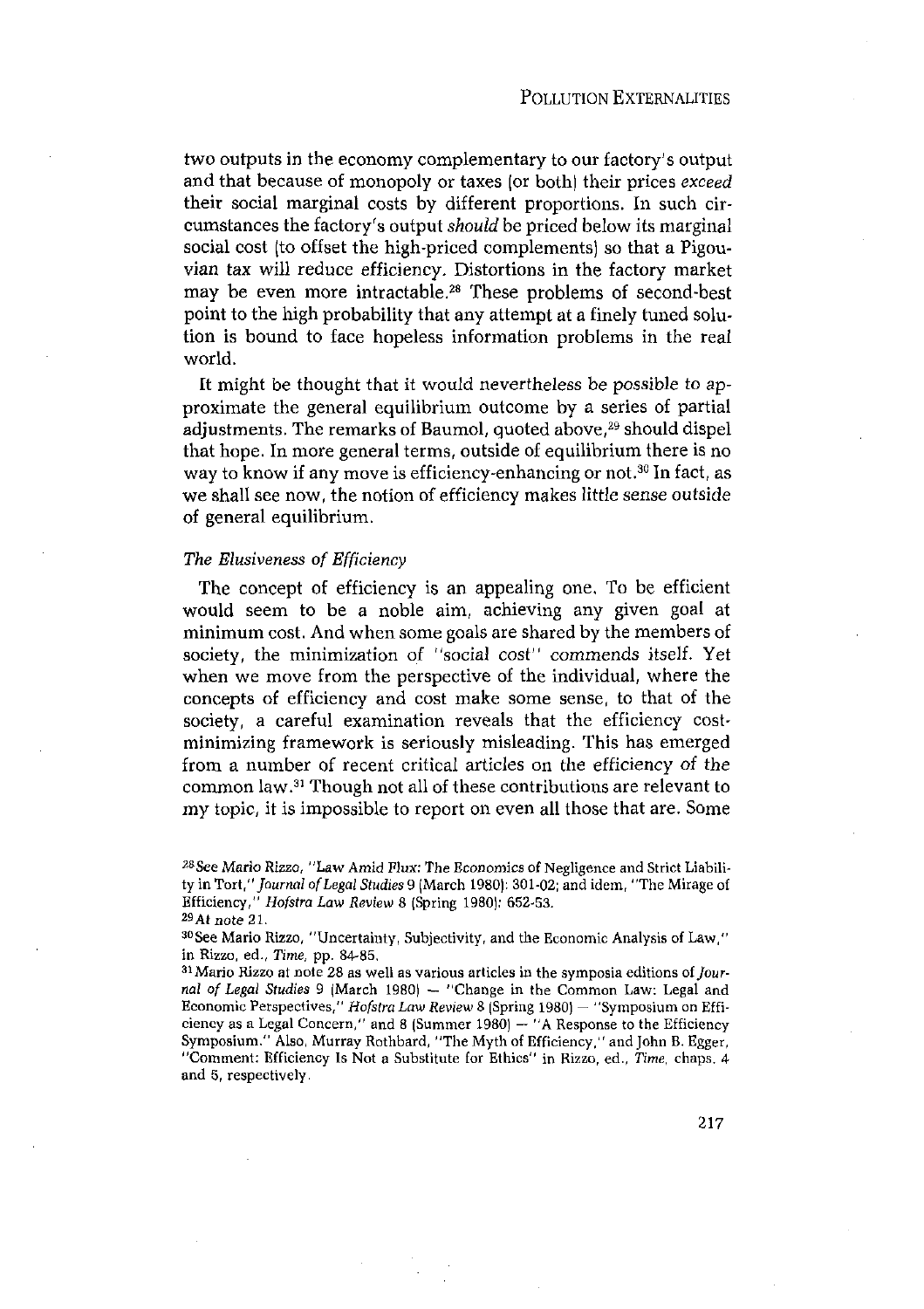two outputs in the economy complementary to our factory's output and that because of monopoly or taxes (or both) their prices *exceed* their social marginal costs by different proportions. In such circumstances the factory's output *should* be priced below its marginal social cost (to offset the high-priced complements) so that a Pigouvian tax will reduce efficiency. Distortions in the factory market may be even more intractable.28 These problems of second-best point to the high probability that any attempt at a finely tuned solution is bound to face hopeless information problems in the real world.

It might be thought that it would nevertheless be possible to approximate the general equilibrium outcome by a series of partial adjustments. The remarks of Baumol, quoted above,<sup>29</sup> should dispel that hope. In more general terms, outside of equilibrium there is no way to know if any move is efficiency-enhancing or not.<sup>30</sup> In fact, as we shall see now, the notion of efficiency makes little sense outside of general equilibrium.

#### *The Elusiveness of Efficiency*

The concept of efficiency is an appealing one. To be efficient would seem to be a noble aim, achieving any given goal at minimum cost. And when some goals are shared by the members of society, the minimization of "social cost'' commends itself. Yet when we move from the perspective of the individual, where the concepts of efficiency and cost make some sense, to that of the society, a careful examination reveals that the efficiency costminimizing framework is seriously misleading. This has emerged from a number of recent critical articles on the efficiency *of* the common law.3' Though not all of these contributions are relevant to my topic, it is impossible to report on even all those that are. Some

<sup>~</sup>See Mario *Rizzo,* "Law Amid *flux:* The Economics of Negligence and Strict Liability in *Tort "Journal ofLegal Stndies* <sup>9</sup> (March 1980): 301-02; and idem, ''The Mirage of Efficiency," *Hofstra Law Review 8 (Spring 1980): 652-53.*<br><sup>29</sup>At note 21.<br><sup>30</sup>See Mario Rizzo, "Uncertainty, Subjectivity, and the Economic Analysis of Law,"

in Rizzo, ed., *Time*, pp. 84-85.<br><sup>31</sup> Mario Rizzo at note 28 as well as various articles in the symposia editions of *Journal of Legal Studies* <sup>9</sup> (March 1980) — "Change in the common Law: Legal and Economic Perspectives," *Hofstra Law Review 8* (Spring 1980) — "Symposium on Efficiency as a Legal Concern," and <sup>S</sup> (Summer 1980) — "A Response to the Efficiency Symposium." Also, Murray Rothbard, "The Myth of Efficiency," and John B. Egger, "Comment: Efficiency Is Not <sup>a</sup> Substitute for Ethics" in Rizzo, ed., *Time,* chaps. 4 and 5, respectively.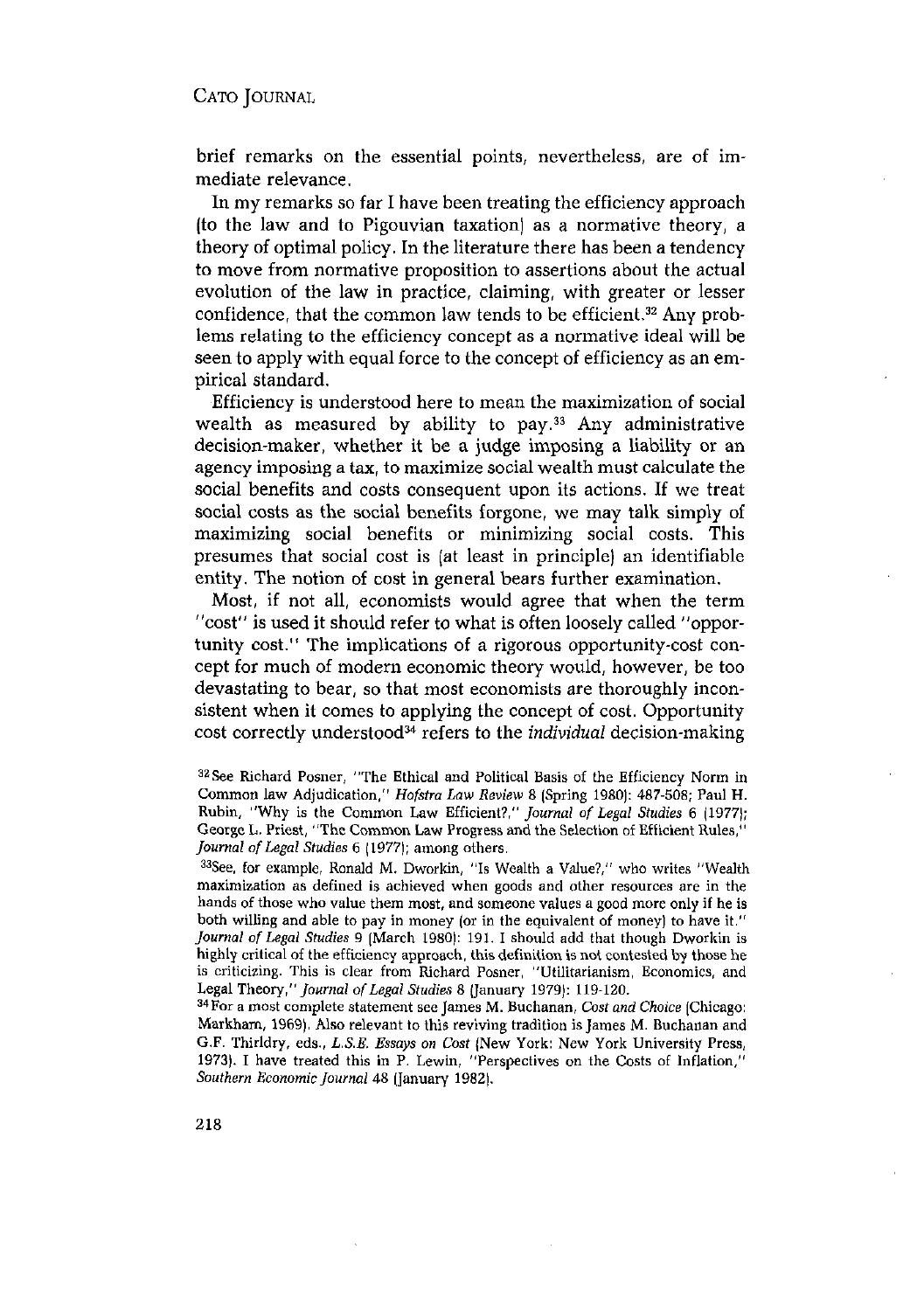brief remarks on the essential points, nevertheless, are of immediate relevance.

In my remarks so far I have been treating the efficiency approach (to the law and to Pigouvian taxation) as a normative theory, a theory of optimal policy. In the literature there has been a tendency to move from normative proposition to assertions about the actual evolution of the law in practice, claiming, with greater or lesser confidence, that the common law tends to be efficient.<sup>32</sup> Any problems relating to the efficiency concept as a normative ideal will be seen to apply with equal force to the concept of efficiency as an empirical standard.

Efficiency is understood here to mean the maximization of social measured by ability to pay.<sup>33</sup> Any administrative wealth as measured by ability to pay.<sup>33</sup> Any administrative decision-maker, whether it be a judge imposing a liability or an agency imposing a tax, to maximize social wealth must calculate the social benefits and costs consequent upon its actions. If we treat social costs as the social benefits forgone, we may talk simply of maximizing social benefits or minimizing social costs. This presumes that social cost is (at least in principle) an identifiable entity. The notion of cost in general bears further examination.

Most, if not all, economists would agree that when the term 'cost' is used it should refer to what is often loosely called "opportunity cost." The implications of a rigorous opportunity-cost concept for much of modern economic theory would, however, be too devastating to bear, so that most economists are thoroughly inconsistent when it comes to applying the concept of cost. Opportunity cost correctly understood<sup>34</sup> refers to the *individual* decision-making

 $33$ See, for example, Ronald M. Dworkin, "Is Wealth a Value?," who writes "Wealth maximization as defined is achieved when goods and other resources are in the hands of those who value them most, and someone values a good more only if he is both willing and able to pay in money (or in the equivalent of money) to have it." *Journal of Legal Studies* <sup>9</sup> (March 1980): 191. I should add that though Dworkin is highly critical of the efficiency approach, this definition is not contested by those he is criticizing. This is clear from Richard Posner, "Utilitarianism, Economics, and Legal Theory," *Journal ofLegal Studies* <sup>8</sup> (January 1979): 119-120. 34For a most complete statement see JamesM. Buchanan, *Cost end Choice* (Chicago:

Markham, 1969). Also relevant to this reviving tradition is James M. Buchanan and G.F. Thirldry, eds., *L.S.E. Essays on Cost* (New York: New York University Press, 1973). I have treated this in P. Lewin, "Perspectives on the Costs of Inflation," *Southern Economic Journal* 48 Ilanuary 1982).

<sup>325</sup>ee Richard Posner, "The Ethical and Political Basis of the Efficiency Norm in Common law Adjudication," *Hofstra Law Review* <sup>8</sup> (Spring 1980): 487-508; Paul H. Rubin, "why is the Common Law Efficient?," *Journal of Legal Studies <sup>6</sup>* (1977); George L.Priest, "The Common Law Progress and the Selection of Efficient Rules," *Journal ofLegal Studies* 6 (1977); among others.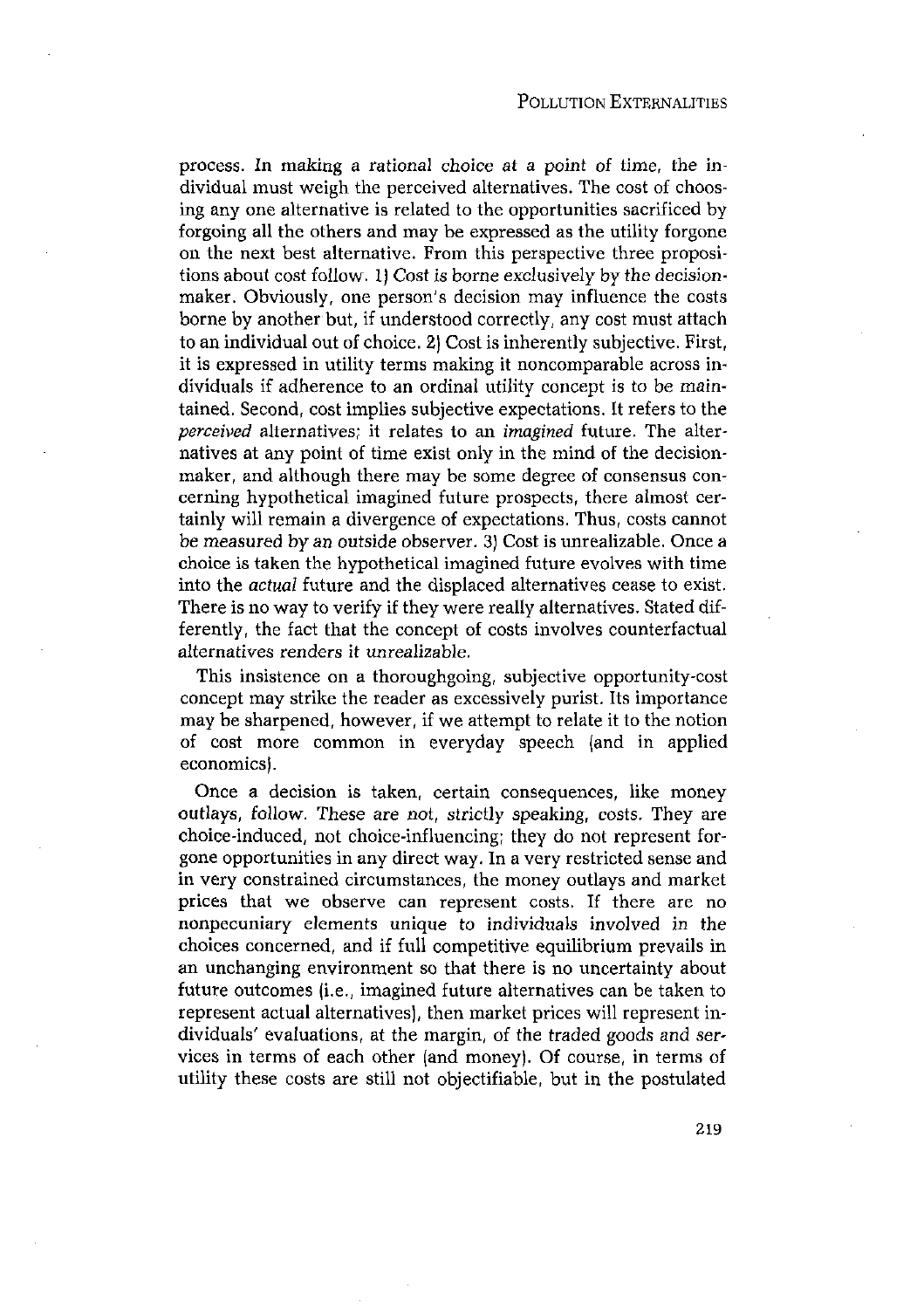process. In making a rational choice at a point of time, the individual must weigh the perceived alternatives. The cost of choosing any one alternative is related to the opportunities sacrificed by forgoing all the others and may be expressed as the utility forgone on the next best alternative. From this perspective three propositions about cost follow. 1) Cost is borne exclusively by the decisionmaker. Obviously, one person's decision may influence the costs borne by another but, if understood correctly, any cost must attach to an individual out of choice. 2) Cost is inherently subjective. First, it is expressed in utility terms making it noncomparable across individuals if adherence to an ordinal utility concept is to be maintained. Second, cost implies subjective expectations. It refers to the *perceived* alternatives; it relates to an *imagined* future. The alternatives at any point of time exist only in the mind of the decisionmaker, and although there may be some degree of consensus concerning hypothetical imagined future prospects, there almost certainly will remain a divergence of expectations. Thus, costs cannot be measured by an outside observer. 3) Cost is unrealizable. Once a choice is taken the hypothetical imagined future evolves with time into the *actual* future and the displaced alternatives cease to exist. There is no way to verify if they were really alternatives. Stated differently, the fact that the concept of costs involves counterfactual alternatives renders it unrealizable.

This insistence on a thoroughgoing, subjective opportunity-cost concept may strike the reader as excessively purist. Its importance may be sharpened, however, if we attempt to relate it to the notion of cost more common in everyday speech (and in applied economics).

Once a decision is taken, certain consequences, like money outlays, follow. These are not, strictly speaking, costs. They are choice-induced, not choice-influencing; they do not represent forgone opportunities in any direct way. In a very restricted sense and in very constrained circumstances, the money outlays and market prices that we observe can represent costs. If there are no nonpecuniary elements unique to individuals involved in the choices concerned, and if full competitive equilibrium prevails in an unchanging environment so that there is no uncertainty about future outcomes (i.e., imagined future alternatives can be taken to represent actual alternatives), then market prices will represent individuals' evaluations, at the margin, of the traded goods and services in terms of each other (and money). Of course, in terms of utility these costs are still not objectifiable, but in the postulated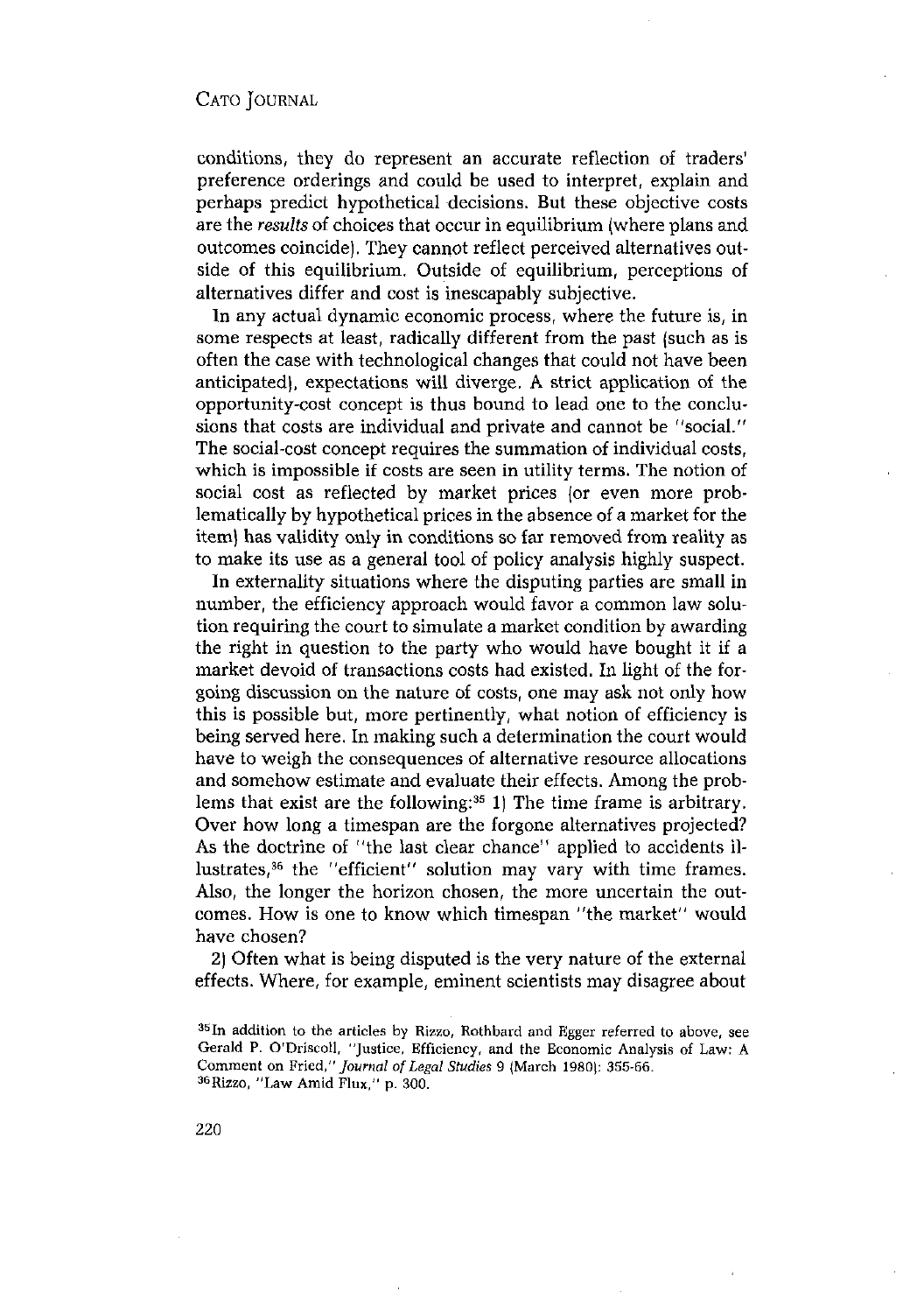conditions, they do represent an accurate reflection of traders' preference orderings and could be used to interpret, explain and perhaps predict hypothetical decisions. But these objective costs are the *results* of choices that occur in equilibrium (where plans and outcomes coincide). They cannot reflect perceived alternatives outside of this equilibrium. Outside of equilibrium, perceptions of alternatives differ and cost is inescapably subjective.

In any actual dynamic economic process, where the future is, in some respects at least, radically different from the past (such as is often the case with technological changes that could not have been anticipated), expectations will diverge. A strict application of the opportunity-cost concept is thus bound to lead one to the conclusions that costs are individual and private and cannot be "social." The social-cost concept requires the summation of individual costs, which is impossible if costs are seen in utility terms. The notion of social cost as reflected by market prices (or even more problematically by hypothetical prices in the absence of a market for the item) has validity only in conditions so far removed from reality as to make its use as a general tool of policy analysis highly suspect.

In externality situations where the disputing parties are small in number, the efficiency approach would favor a common law solution requiring the court to simulate a market condition by awarding the right in question to the party who would have bought it if a market devoid of transactions costs had existed. In light of the forgoing discussion on the nature of costs, one may ask not only how this is possible but, more pertinently, what notion of efficiency is being served here. In making such a determination the court would have to weigh the consequences of alternative resource allocations and somehow estimate and evaluate their effects. Among the problems that exist are the following:<sup>35</sup> 1) The time frame is arbitrary. Over how long a timespan are the forgone alternatives projected? As the doctrine of "the last clear chance" applied to accidents illustrates,<sup>36</sup> the "efficient" solution may vary with time frames. Also, the longer the horizon chosen, the more uncertain the outcomes. How is one to know which timespan "the market" would have chosen?

2) Often what is being disputed is the very nature of the external effects. Where, for example, eminent scientists may disagree about

 $35$ In addition to the articles by Rizzo, Rothbard and Egger referred to above, see Gerald P. O'Driscoll, "Justice, Efficiency, and the Economic Analysis of Law: A Comment on Fried," *Journal of Legal Studies* <sup>9</sup> (March 1980): 355-66. 36Riszo, "Law Amid Flux," p. 300.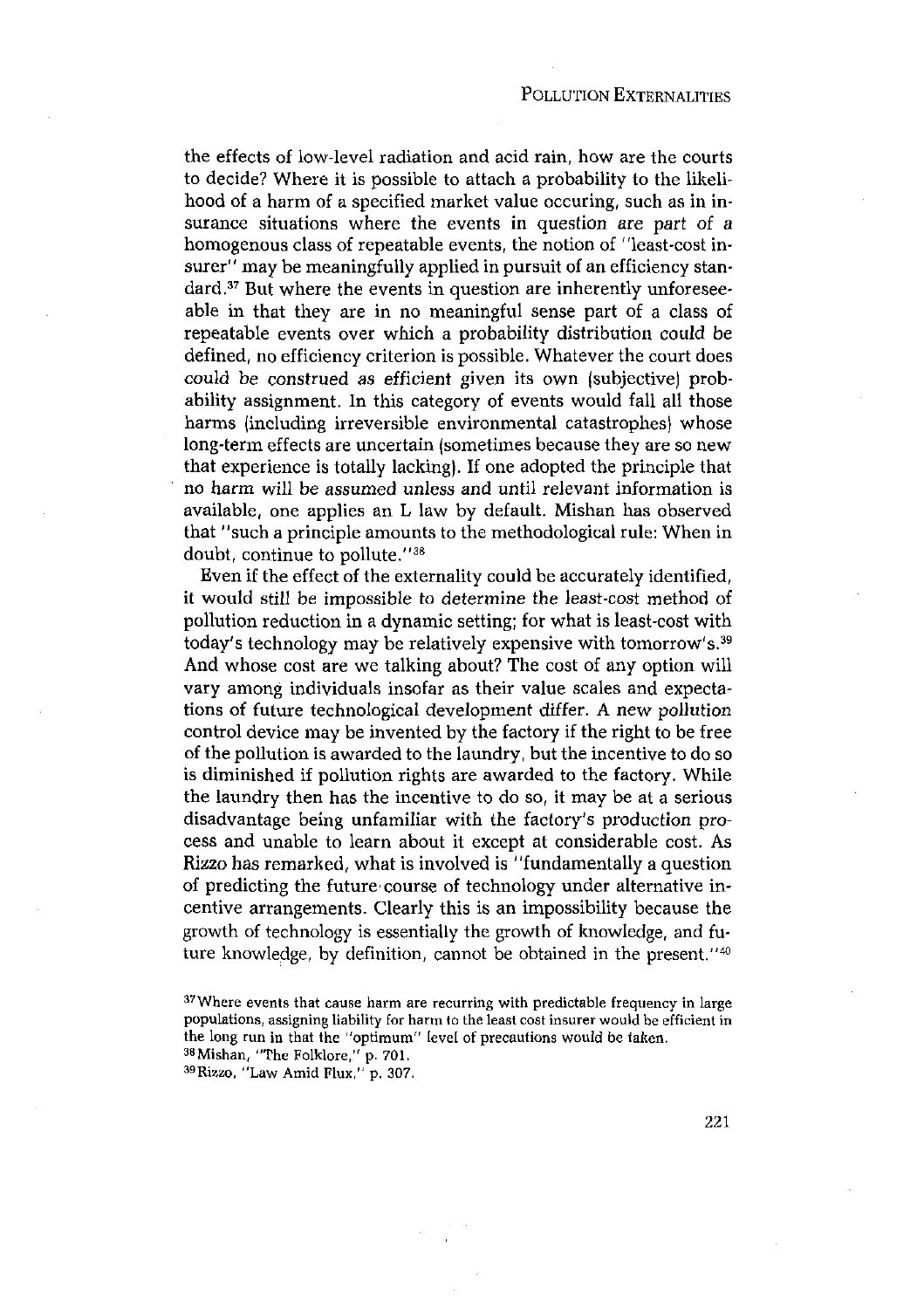the effects of low-level radiation and acid rain, how are the courts to decide? Where it is possible to attach a probability to the likelihood of a harm of a specified market value occuring, such as in insurance situations where the events in question are part of a homogenous class of repeatable events, the notion of "least-cost insurer" may be meaningfully applied in pursuit of an efficiency standard.<sup>37</sup> But where the events in question are inherently unforeseeable in that they are in no meaningful sense part of a class of repeatable events over which a probability distribution could be defined, no efficiency criterion is possible. Whatever the court does could be construed as efficient given its own (subjective) probability assignment. In this category of events would fall all those harms (including irreversible environmental catastrophes) whose long-term effects are uncertain (sometimes because they are so new that experience is totally lacking). If one adopted the principle that no harm will be assumed unless and until relevant information is available, one applies an L law by default. Mishan has observed that "such a principle amounts to the methodological rule: When in doubt, continue to pollute."38

Even if the effect of the externality could be accurately identified, it would still be impossible to determine the least-cost method of pollution reduction in a dynamic setting; for what is least-cost with today's technology may be relatively expensive with tomorrow's.<sup>39</sup> And whose cost are we talking about? The cost of any option will vary among individuals insofar as their value scales and expectations of future technological development differ. A new pollution control device may be invented by the factory if the right to be free of the pollution is awarded to the laundry, but the incentive to do so is diminished if pollution rights are awarded to the factory. While the laundry then has the incentive to do so, it may be at a serious disadvantage being unfamiliar with the factory's production process and unable to learn about it except at considerable cost. As Rizzo has remarked, what is involved is "fundamentally a question of predicting the future course of technology under alternative incentive arrangements. Clearly this is an impossibility because the growth of technology is essentially the growth of knowledge, and future knowledge, by definition, cannot be obtained in the present." $40$ 

<sup>&</sup>lt;sup>37</sup>Where events that cause harm are recurring with predictable frequency in large populations, assigning liability for harm to the least costinsurer would be efficient in the long run in that the "optimum" level of precautions would be taken.<br><sup>38</sup>Mishan, "The Folklore," p. 701, <sup>39</sup>Rizzo, "Law Amid Flux," p. 307.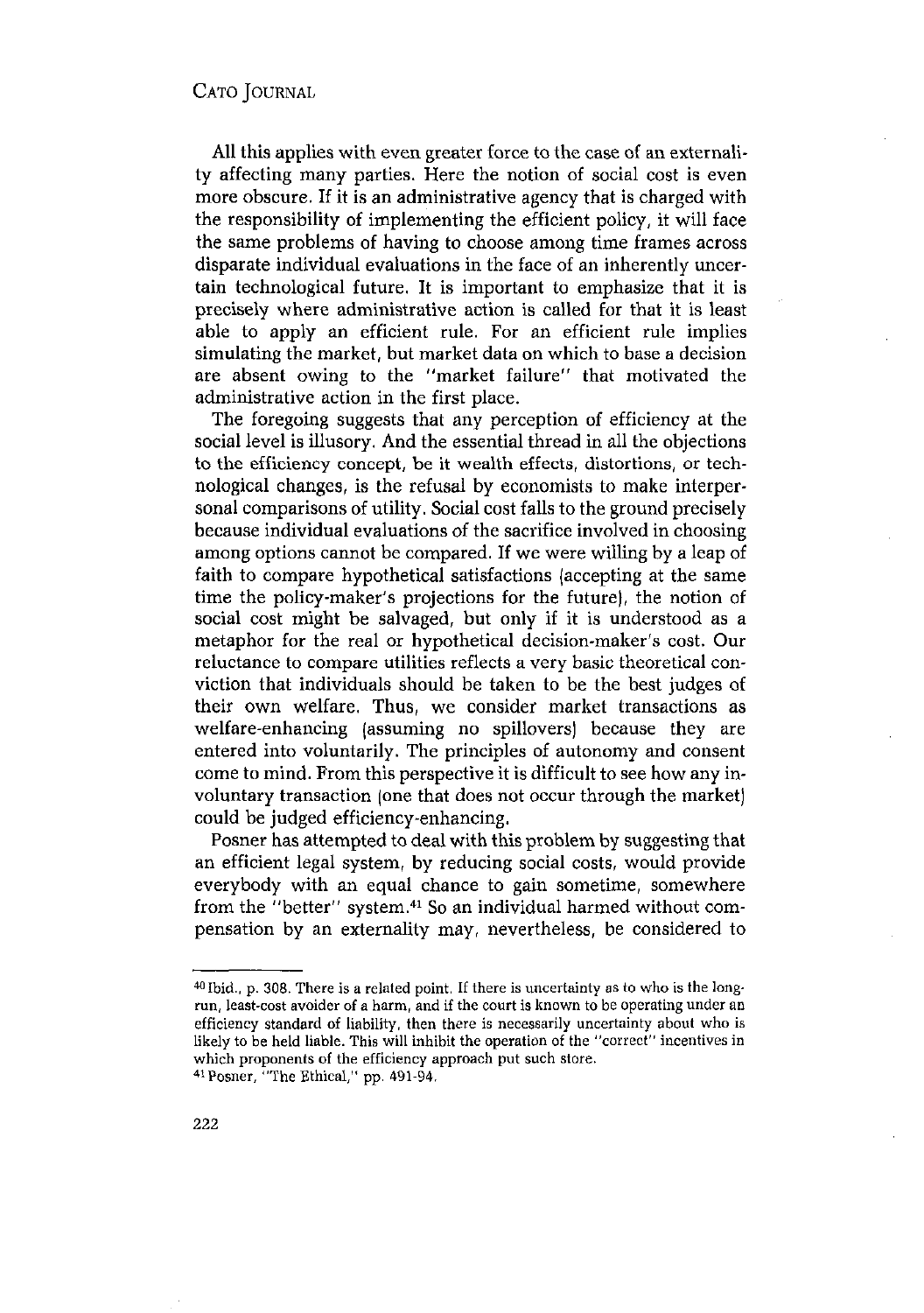All this applies with even greater force to the case of an externality affecting many parties. Here the notion of social cost is even more obscure. If it is an administrative agency that is charged with the responsibility of implementing the efficient policy, it will face the same problems of having to choose among time frames across disparate individual evaluations in the face of an inherently uncertain technological future. It is important to emphasize that it is precisely where administrative action is called for that it is least able to apply an efficient rule. For an efficient rule implies simulating the market, but market data on which to base a decision are absent owing to the "market failure" that motivated the administrative action in the first place.

The foregoing suggests that any perception of efficiency at the social level is illusory. And the essential thread in all the objections to the efficiency concept, be it wealth effects, distortions, or technological changes, is the refusal by economists to make interpersonal comparisons of utility. Social cost falls to the ground precisely because individual evaluations of the sacrifice involved in choosing among options cannot be compared. If we were willing by a leap of faith to compare hypothetical satisfactions (accepting at the same time the policy-maker's projections for the future), the notion of social cost might be salvaged, but only if it is understood as a metaphor for the real or hypothetical decision-maker's cost. Our reluctance to compare utilities reflects a very basic theoretical conviction that individuals should be taken to be the best judges of their own welfare. Thus, we consider market transactions as welfare-enhancing (assuming no spillovers) because they are entered into voluntarily. The principles of autonomy and consent come to mind. From this perspective it is difficult to see how any involuntary transaction (one that does not occur through the market) could be judged efficiency-enhancing.

Posner has attempted to deal with this problem by suggesting that an efficient legal system, by reducing social costs, would provide everybody with an equal chance to gain sometime, somewhere from the "better" system.<sup>41</sup> So an individual harmed without compensation by an externality may, nevertheless, be considered to

 $40$  Ibid., p. 308. There is a related point. If there is uncertainty as to who is the longrun, least-cost avoider of a harm, and if the court is known to be operating under an efficiency standard of liability, then there is necessarily uncertainty about who is likely to be held liable. This will inhibit the operation of the "correct" incentives in which proponents of the efficiency approach put such store. 41 Posner, "The Ethical," pp. 491-94.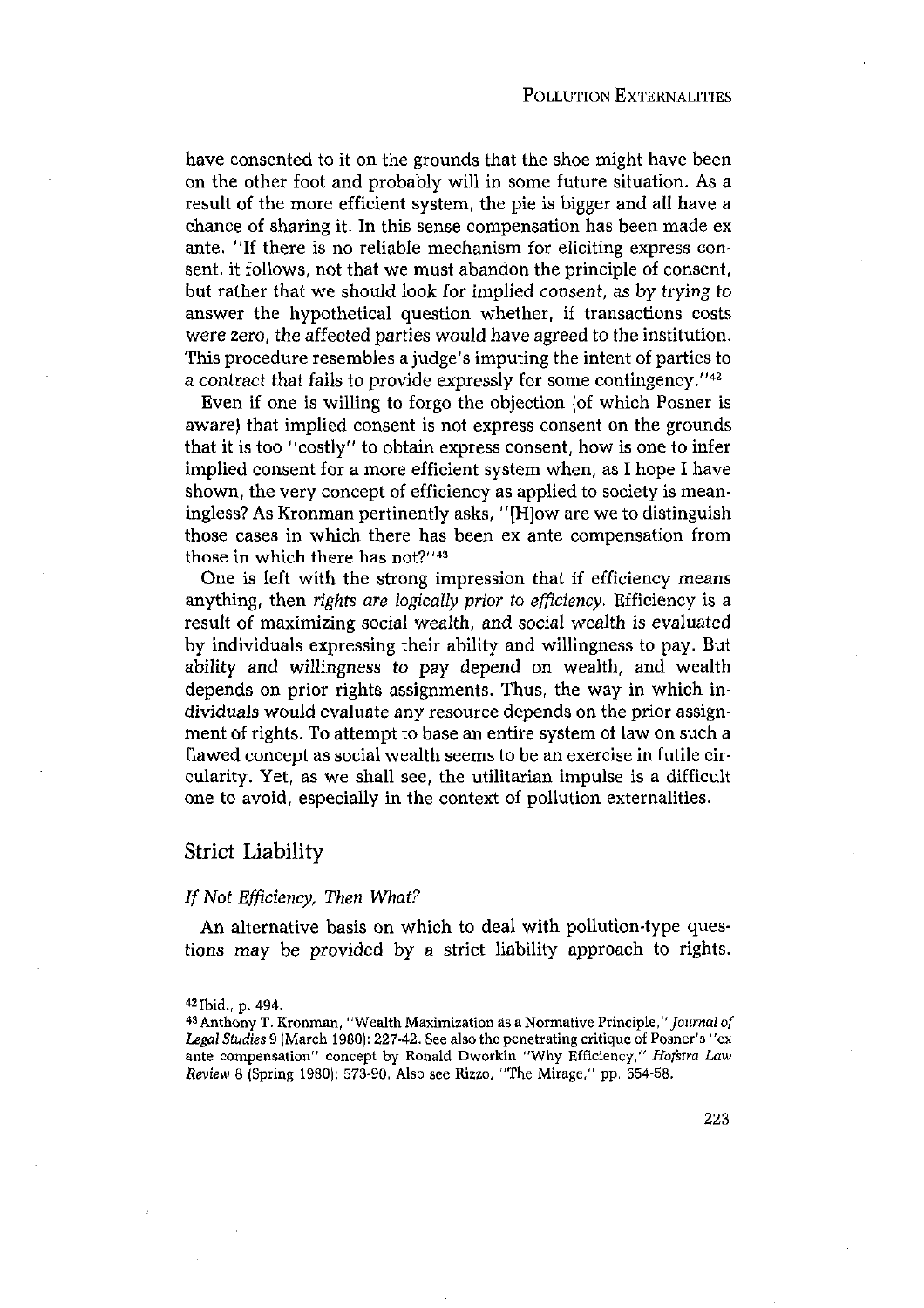have consented to it on the grounds that the shoe might have been on the other foot and probably will in some future situation. As a result of the more efficient system, the pie is bigger and all have a chance of sharing it. In this sense compensation has been made ex ante. "If there is no reliable mechanism for eliciting express consent, it follows, not that we must abandon the principle of consent, but rather that we should look for implied consent, as by trying to answer the hypothetical question whether, if transactions costs were zero, the affected parties would have agreed to the institution. This procedure resembles a judge's imputing the intent of parties to a contract that fails to provide expressly for some contingency."<sup>42</sup>

Even if one is willing to forgo the objection (of which Posner is aware) that implied consent is not express consent on the grounds that it is too ''costly" to obtain express consent, how is one to infer implied consent for a more efficient system when, as I hope I have shown, the very concept of efficiency as applied to society is meaningless? As Kronman pertinently asks, "[HJow are we to distinguish those cases in which there has been ex ante compensation from those in which there has not?"<sup>43</sup>

One is left with the strong impression that if efficiency means anything, then *rights are logically prior* to *efficiency.* Efficiency is a result of maximizing social wealth, and social wealth is evaluated by individuals expressing their ability and willingness to pay. But ability and willingness to pay depend on wealth, and wealth depends on prior rights assignments. Thus, the way in which individuals would evaluate any resource depends on the prior assignment of rights. To attempt to base an entire system of law on such a flawed concept as social wealth seems to be an exercise in futile circularity. Yet, as we shall see, the utilitarian impulse is a difficult one to avoid, especially in the context of pollution externalities.

#### Strict Liability

#### *If* Not *Efficiency*, Then *What?*

An alternative basis on which to deal with pollution-type questions may be provided by a strict liability approach to rights.

<sup>&</sup>lt;sup>42</sup> Ibid., p. 494.<br><sup>43</sup> Anthony T. Kronman, "Wealth Maximization as a Normative Principle," *Journal of Legal Studies* <sup>9</sup> (March 1980): 227-42. See also the penetrating critique of Posner's "ex ante compensation" concept by Ronald Dworkin "Why Efficiency," *Hofstra Law Review* <sup>8</sup> (Spring t980): 573-90. Also see Rizzo, "The Mirage," pp. 654-58.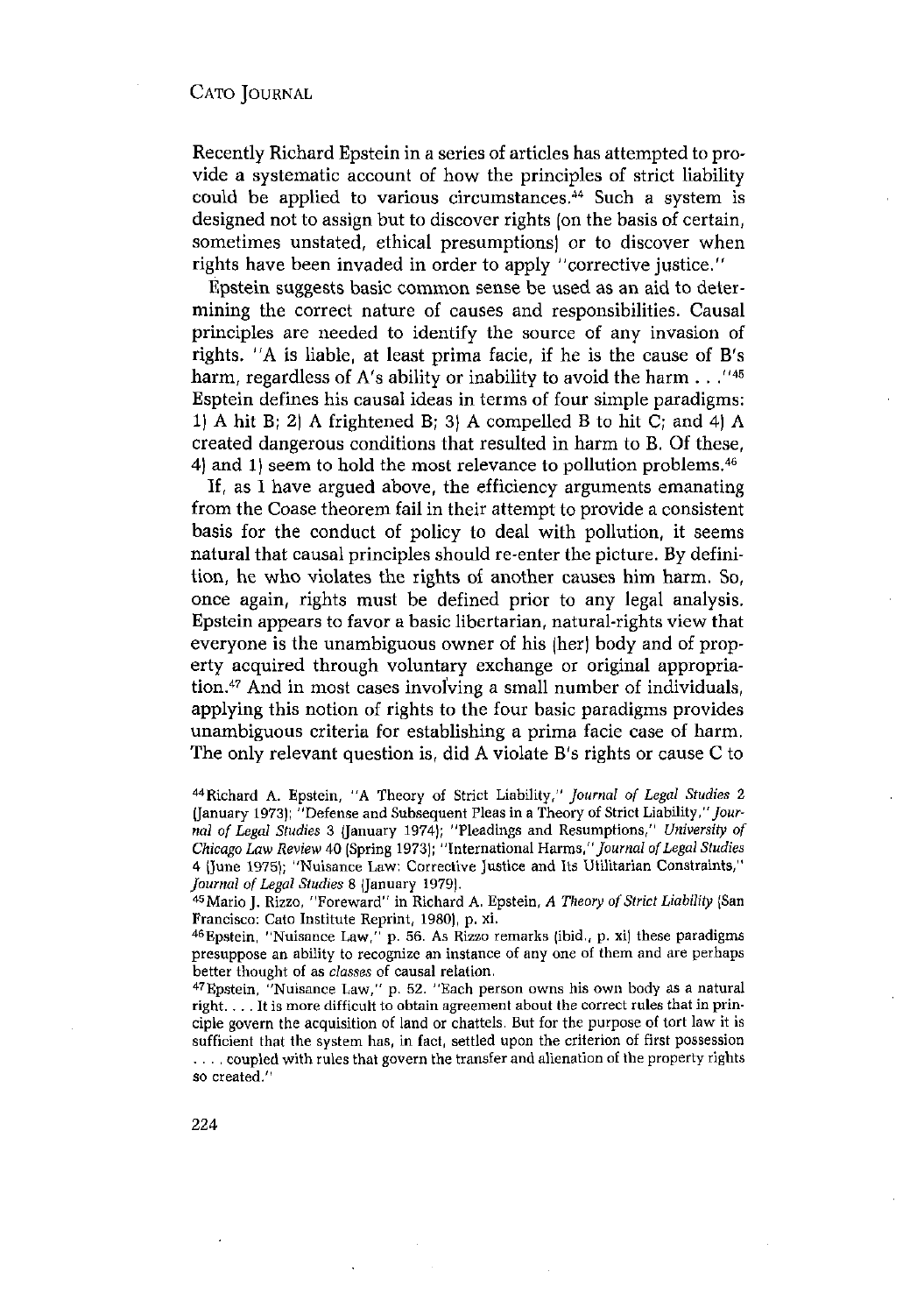Recently Richard Epstein in a series of articles has attempted to provide a systematic account of how the principles of strict liability could be applied to various circumstances.<sup>44</sup> Such a system is designed not to assign but to discover rights (on the basis of certain, sometimes unstated, ethical presumptions) or to discover when rights have been invaded in order to apply "corrective justice."

Epstein suggests basic common sense be used as an aid to determining the correct nature of causes and responsibilities. Causal principles are needed to identify the source of any invasion of rights. "A is liable, at least prima facie, if he is the cause of B's harm, regardless of A's ability or inability to avoid the harm  $\ldots$  "<sup>45</sup> Esptein defines his causal ideas in terms of four simple paradigms: 1) A hit B; 2) A frightened B; 3) A compelled B to hit C; and 4) A created dangerous conditions that resulted in harm to B. Of these, 4) and 1) seem to hold the most relevance to pollution problems.<sup>46</sup>

If, as <sup>1</sup> have argued above, the efficiency arguments emanating from the Coase theorem fail in their attempt to provide a consistent basis for the conduct of policy to deal with pollution, it seems natural that causal principles should re-enter the picture. By definition, he who violates the rights of another causes him harm. So, once again, rights must be defined prior to any legal analysis. Epstein appears to favor a basic libertarian, natural-rights view that everyone is the unambiguous owner of his (her) body and of property acquired through voluntary exchange or original appropriation.47 And in most cases involving <sup>a</sup> small number of individuals, applying this notion of rights to the four basic paradigms provides unambiguous criteria for establishing a prima facie case of harm. The only relevant question is, did A violate B's rights or cause C to

47Epstein, "Nuisance Law," p. 52. "Each person owns his own body as <sup>a</sup> natural right.  $\ldots$  It is more difficult to obtain agreement about the correct rules that in principle govern the acquisition of land or chattels. But for the purpose of tort law it is sufficient that the system has, in fact, settled upon the criterion of first possession .... coupled with rules that govern the transfer and alienation of the property rights so created."

<sup>44</sup>Richard A. Epstein, "A Theory of Strict Liability," *Journal of Legal Studies* <sup>2</sup> (January 1973); "Defense and Subsequent Pleas in a Theory of Strict Liability,"Jour*nal of Legal Studies* <sup>3</sup> (January 1974); "Pleadings and Resumptions," *University of Chicago Law Review* 40 (Spring 1973); "International *Harms,"Journal ofLegal Studies* 4 (June 1975); "Nuisance Law: Corrective Justice and Its Utilitarian Constraints," *Journal of Legal Studies* 8 (January 1979).<br><sup>45</sup> Mario J. Rizzo, "Foreward" in Richard A. Epstein, *A Theory of Strict Liability* (San

Francisco: Cato Institute Reprint, 1980), p. xi. 46Epstein, "Nuisance Law," p. 56. As Rizzo remarks (ibid., p. xi) these paradigms presuppose an ability to recognize an instance of any one of them and are perhaps better thought of as *classes of* causal relation -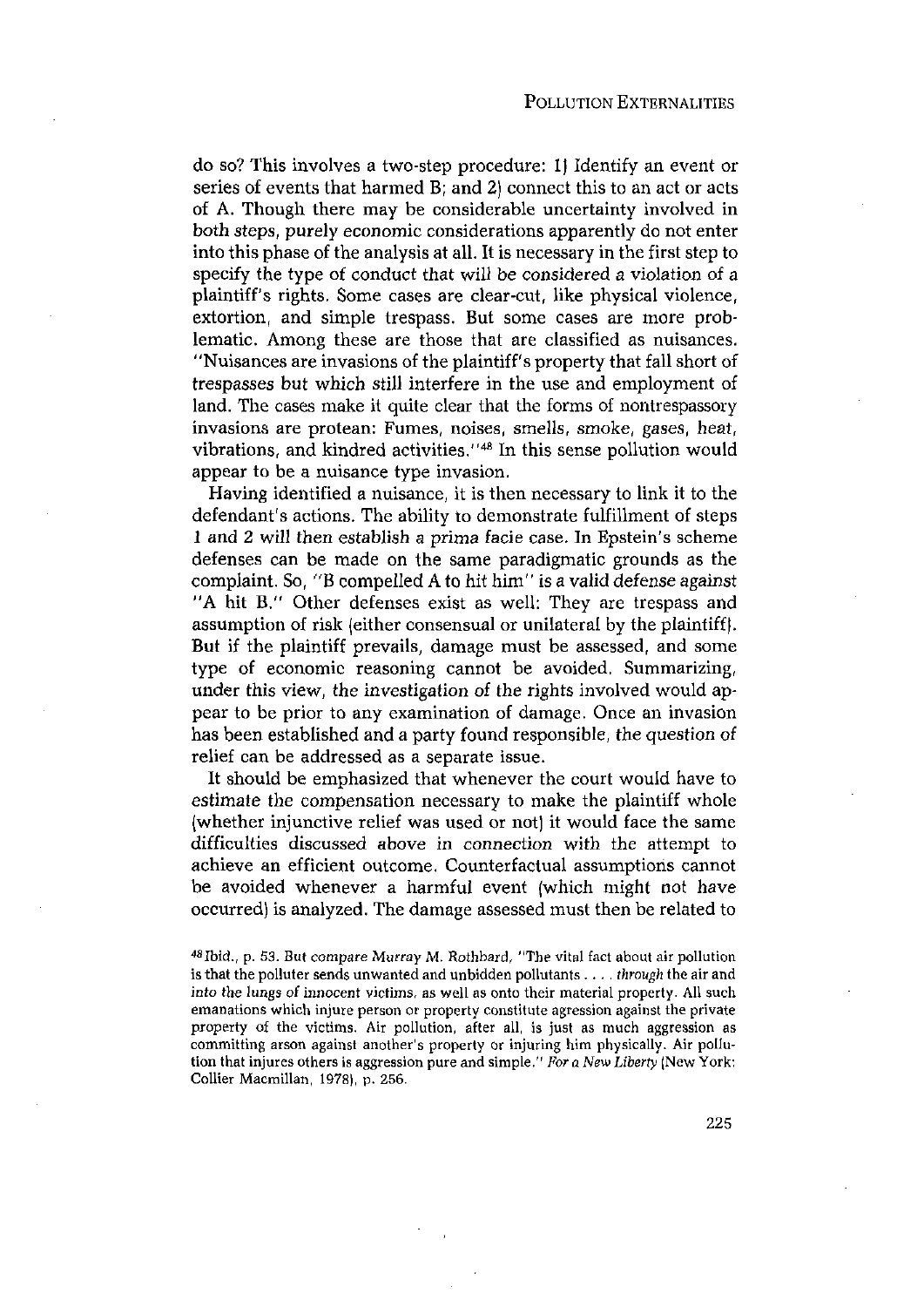do so? This involves a two-step procedure: I) Identify an event or series of events that harmed B; and 2) connect this to an act or acts of A. Though there may be considerable uncertainty involved in both steps, purely economic considerations apparently do not enter into this phase of the analysis at all. It is necessary in the first step to specify the type of conduct that will be considered a violation of a plaintiff's rights. Some cases are clear-cut, like physical violence, extortion, and simple trespass. But some cases are more problematic. Among these are those that are classified as nuisances. "Nuisances are invasions of the plaintiff's property that fall short of trespasses but which still interfere in the use and employment of land. The cases make it quite clear that the forms of nontrespassory invasions are protean: Fumes, noises, smells, smoke, gases, heat, vibrations, and kindred activities."<sup>48</sup> In this sense pollution would appear to be a nuisance type invasion.

Having identified a nuisance, it is then necessary to link it to the defendant's actions. The ability to demonstrate fulfillment of steps <sup>1</sup> and 2 will then establish a prima facie case. In Epstein's scheme defenses can be made on the same paradigmatic grounds as the complaint. So, "B compelled A to hit him" is a valid defense against 'A hit B." Other defenses exist as well: They are trespass and assumption of risk (either consensual or unilateral by the plaintiff). But if the plaintiff prevails, damage must be assessed, and some type of economic reasoning cannot be avoided. Summarizing, under this view, the investigation of the rights involved would appear to be prior to any examination of damage. Once an invasion has been established and a party found responsible, the question of relief can be addressed as a separate issue.

It should be emphasized that whenever the court would have to estimate the compensation necessary to make the plaintiff whole (whether injunctive relief was used or not) it would face the same difficulties discussed above in connection with the attempt to achieve an efficient outcome. Counterfactual assumptions cannot be avoided whenever a harmful event (which might not have occurred) is analyzed. The damage assessed must then be related to

<sup>48</sup>Ibid., p. 53. But compare Murray M. Rothbard, "The vital fact about air pollution is that the polluter sends unwanted and unbidden pollutants . . . *. through* the air and *into* the lungs of innocent victims, as well as onto their material property. All such emanations which injure person or property constitute agression against the private property of the victims. Air pollution, after all, is just as much aggression as committing arson against another's property or injuring him physically. Air pollution that injures others is aggression pure and simple." *For <sup>a</sup> New Liberty* (NewYork: Collier Macmillan, 1978), p. 256.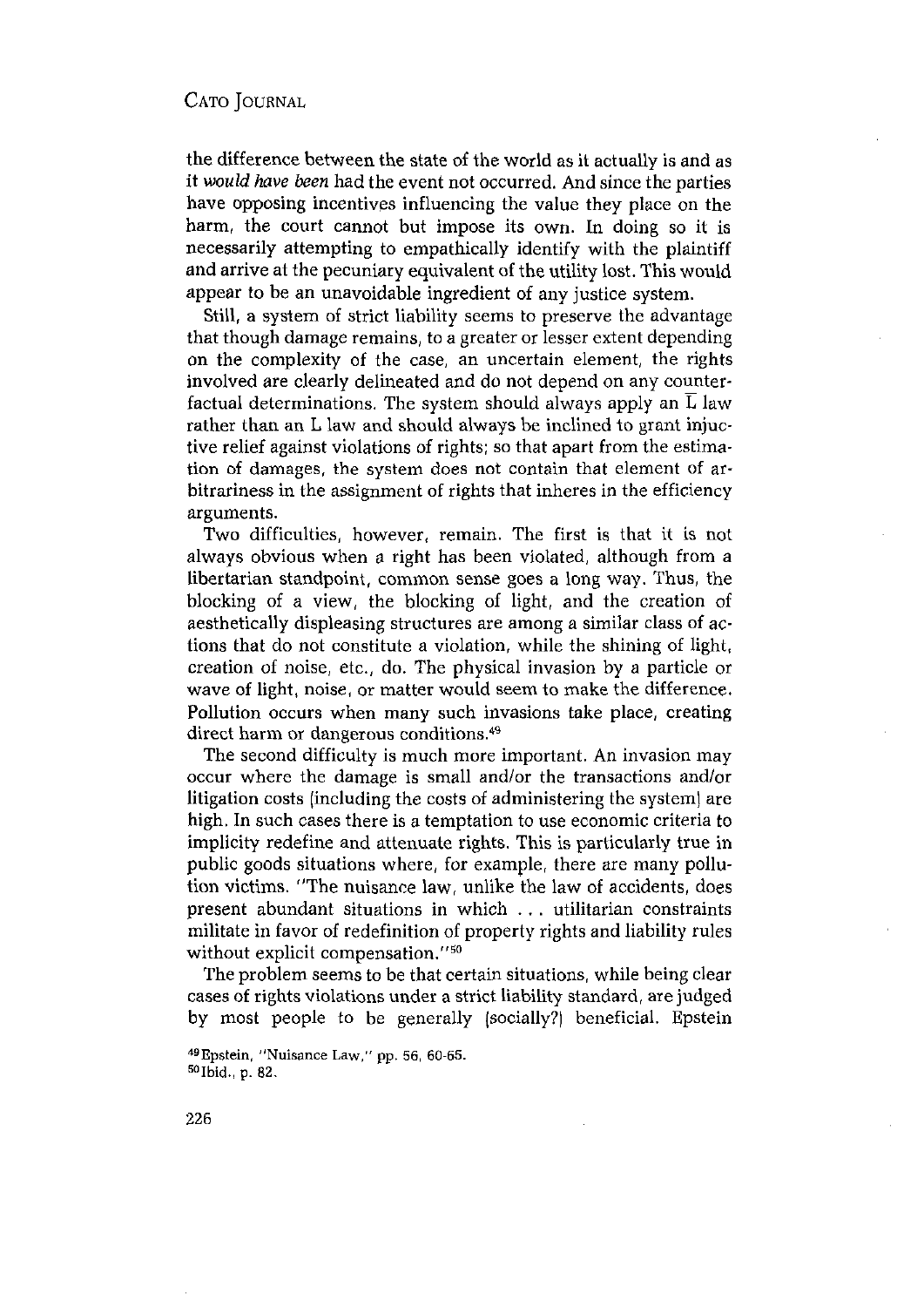the difference between the state of the world as it actually is and as it *wouldhave been* had the event not occurred. And since the parties have opposing incentives influencing the value they place on the harm, the court cannot but impose its own. In doing so it is necessarily attempting to empathically identify with the plaintiff and arrive at the pecuniary equivalent of the utility lost. This would appear to be an unavoidable ingredient of any justice system.

Still, a system of strict liability seems to preserve the advantage that though damage remains, to a greater or lesser extent depending on the complexity of the case, an uncertain element, the rights involved are clearly delineated and do not depend on any counterfactual determinations. The system should always apply an  $\overline{L}$  law rather than an L law and should always be inclined to grant injuctive relief against violations of rights; so that apart from the estimation of damages, the system does not contain that element of arbitrariness in the assignment of rights that inheres in the efficiency arguments.

Two difficulties, however, remain. The first is that it is not always obvious when a right has been violated, although from a libertarian standpoint, common sense goes a long way. Thus, the blocking of a view, the blocking of light, and the creation of aesthetically displeasing structures are among a similar class of actions that do not constitute a violation, while the shining of light, creation of noise, etc., do. The physical invasion by a particle or wave of light, noise, or matter would seem to make the difference. Pollution occurs when many such invasions take place, creating direct harm or dangerous conditions.<sup>49</sup>

The second difficulty is much more important. An invasion may occur where the damage is small and/or the transactions and/or litigation costs (including the costs of administering the system) are high. In such cases there is a temptation to use economic criteria to implicity redefine and attenuate rights. This is particularly true in public goods situations where, for example, there are many pollution victims. "The nuisance law, unlike the law of accidents, does present abundant situations in which ... utilitarian constraints militate in favor of redefinition of property rights and liability rules without explicit compensation."<sup>50</sup>

The problem seems tobe that certain situations, while being clear cases of rights violations under a strict liability standard, are judged by most people to be generally (socially?) beneficial. Epstein

 $^{49}$ Epstein, "Nuisance Law," pp. 56, 60-65.<br> $^{50}$ Ibid., p. 82.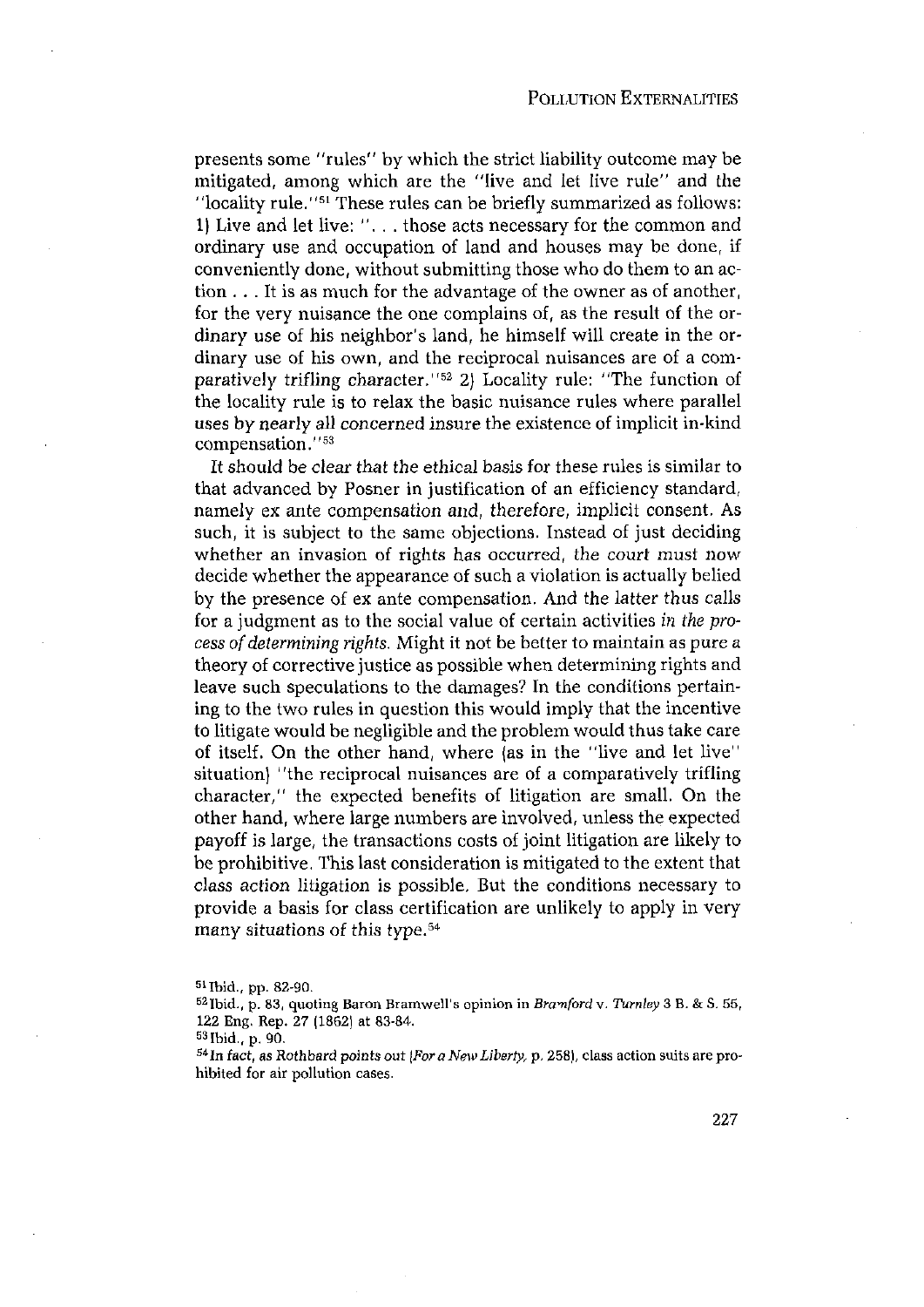presents some "rules" by which the strict liability outcome may be mitigated, among which are the "live and let live rule" and the 'locality rule."5' These rules can be briefly summarized as follows: 1) Live and let live: '. - - those acts necessary for the common and ordinary use and occupation of land and houses may be done, if conveniently done, without submitting those who do them to an action  $\ldots$  It is as much for the advantage of the owner as of another, for the very nuisance the one complains of, as the result of the ordinary use of his neighbor's land, he himself will create in the ordinary use of his own, and the reciprocal nuisances are of a comparatively trifling character.''52 2) Locality rule: ''The function of the locality rule is to relax the basic nuisance rules where parallel uses by nearly all concerned insure the existence of implicit in-kind compensation."53

It should be clear that the ethical basis for these rules is similar to that advanced by Posner in justification of an efficiency standard, namely ex ante compensation and, therefore, implicit consent. As such, it is subject to the same objections. Instead of just deciding whether an invasion of rights has occurred, the court must now decide whether the appearance of such a violation is actually belied by the presence of ex ante compensation. And the latter thus calls for a judgment as to the social value of certain activities *in the process of determining rights.* Might it not be better to maintain as pure a theory of corrective justice as possible when determining rights and leave such speculations to the damages? In the conditions pertaining to the two rules in question this would imply that the incentive to litigate would be negligible and the problem would thus take care of itself. On the other hand, where (as in the ''live and let live'' situation) ''the reciprocal nuisances are of a comparatively trifling character," the expected benefits of litigation are small. On the other hand, where large numbers are involved, unless the expected payoff is large, the transactions costs of joint litigation are likely to be prohibitive. This last consideration is mitigated to the extent that class action litigation is possible. But the conditions necessary to provide a basis for class certification are unlikely to apply in very many situations of this type.<sup>54</sup>

<sup>5&#</sup>x27;!bid., pp. 82-90. 52Ibid., p. 83, quoting Baron Bramwell's opinion in *Bramford* v. *Turnley* <sup>3</sup> B. & S. 55, 122 Eng. Rep. 27 (1862) at 83-84.<br><sup>53</sup> Ibid., p. 90.

<sup>90.</sup> 54Th fact, as Rothbard *points out (For <sup>a</sup> New Liberty,* p.258), class action suits are prohibited for air pollution cases.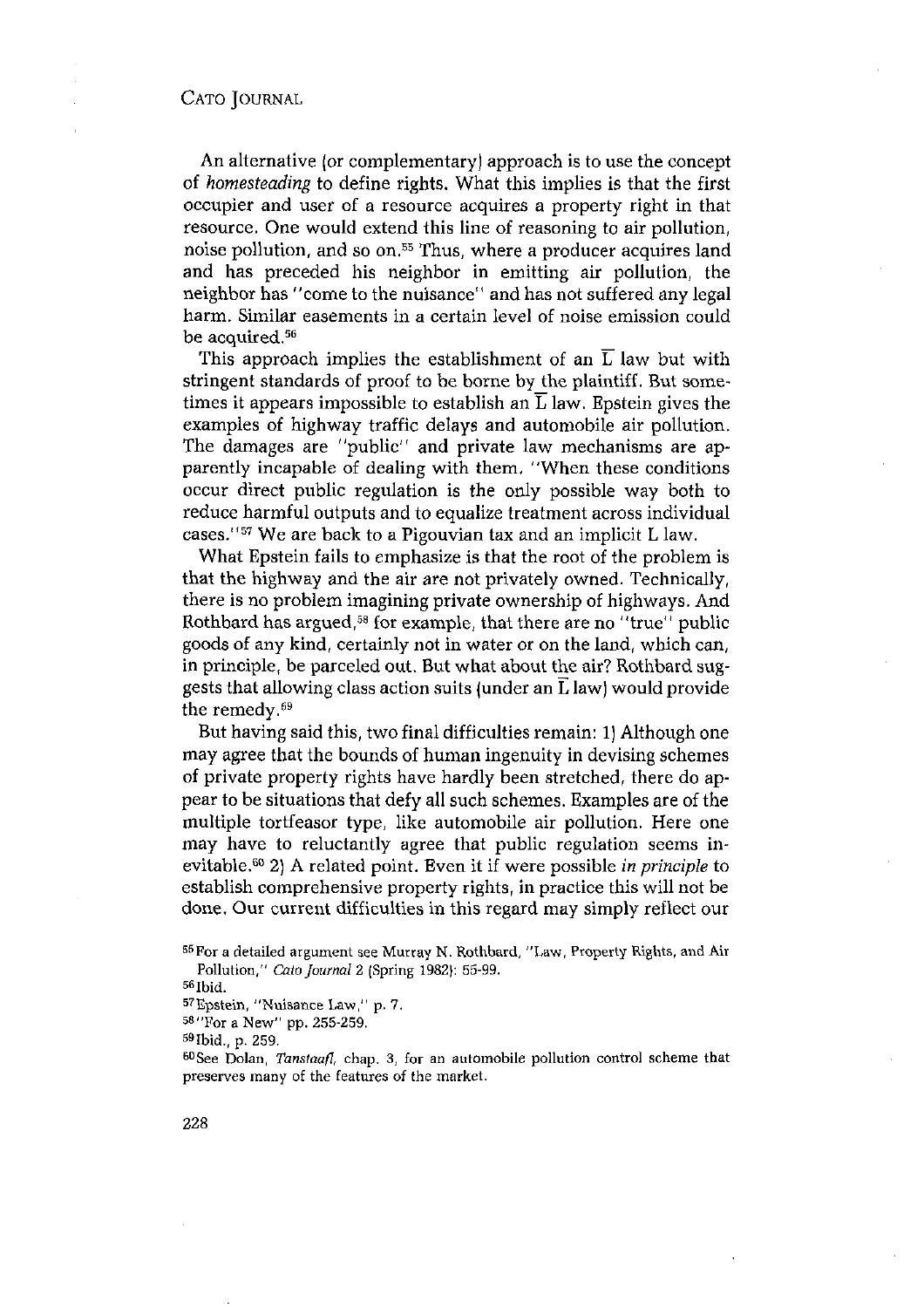An alternative (or complementary) approach is to use the concept of *homesteading* to define rights. What this implies is that the first occupier and user of a resource acquires a property right in that resource. One would extend this line of reasoning to air pollution, producer one world once<br>noise pollution, and so on.<sup>55</sup> Thus, where a producer acquires land and has preceded his neighbor in emitting air pollution, the neighbor has "come to the nuisance" and has not suffered any legal harm. Similar easements in a certain level of noise emission could be acquired.<sup>56</sup>

This approach implies the establishment of an  $\overline{L}$  law but with stringent standards of proof to be borne by the plaintiff. But sometimes it appears impossible to establish an  $\overline{L}$  law. Epstein gives the examples of highway traffic delays and automobile air pollution. The damages are "public'' and private law mechanisms are apparently incapable of dealing with them, "When these conditions occur direct public regulation is the only possible way both to reduce harmful outputs and to equalize treatment across individual cases.''57 We are back to <sup>a</sup> Pigouvian tax and an implicit <sup>L</sup> law.

What Epstein fails to emphasize is that the root of the problem is that the highway and the air are not privately owned. Technically, there is no problem imagining private ownership of highways. And Rothbard has argued,<sup>58</sup> for example, that there are no "true" public goods of any kind, certainly not in water or on the land, which can, in principle, be parceled out. Butwhat about the air? Rothbard suggests that allowing class action suits (under an  $\overline{L}$  law) would provide the remedy.<sup>59</sup>

But having said this, two final difficulties remain: 1) Although one may agree that the bounds of human ingenuity in devising schemes of private property rights have hardly been stretched, there do appear to be situations that defy all such schemes. Examples are of the multiple tortfeasor type, like automobile air pollution. Here one may have to reluctantly agree that public regulation seems inevitable.<sup>60</sup> 2) A related point. Even it if were possible *in principle* to establish comprehensive property rights, in practice this will not be done. Our current difficulties in this regard may simply reflect our

<sup>55</sup> For a detailed argument see Murray N. Rothbard, "Law, Property Rights, and Air Pollution," Cato Journal 2 (Spring 1982): 55-99.<br>
56 Ibid.<br>
57 Epstein, "Nuisance Law," p. 7.<br>
58 "For a New" pp. 255-259.<br>
59 Ibid., p. 259.<br>
60 See Dolan, *Tanstaafl*, chap. 3, for an automobile pollution control scheme

preserves many of the features of the market.